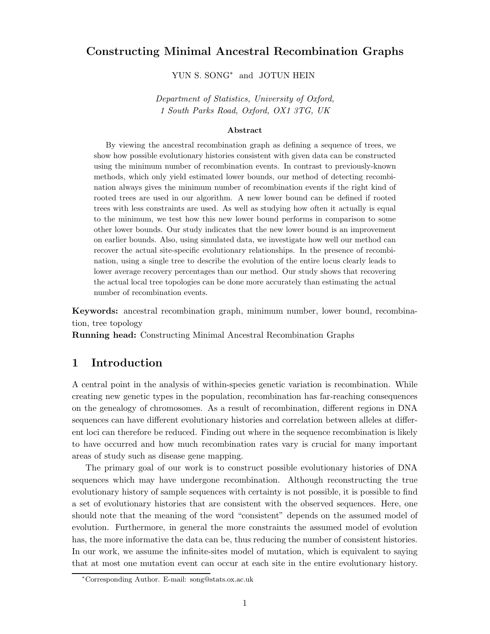# Constructing Minimal Ancestral Recombination Graphs

YUN S. SONG<sup>∗</sup> and JOTUN HEIN

Department of Statistics, University of Oxford, 1 South Parks Road, Oxford, OX1 3TG, UK

#### Abstract

By viewing the ancestral recombination graph as defining a sequence of trees, we show how possible evolutionary histories consistent with given data can be constructed using the minimum number of recombination events. In contrast to previously-known methods, which only yield estimated lower bounds, our method of detecting recombination always gives the minimum number of recombination events if the right kind of rooted trees are used in our algorithm. A new lower bound can be defined if rooted trees with less constraints are used. As well as studying how often it actually is equal to the minimum, we test how this new lower bound performs in comparison to some other lower bounds. Our study indicates that the new lower bound is an improvement on earlier bounds. Also, using simulated data, we investigate how well our method can recover the actual site-specific evolutionary relationships. In the presence of recombination, using a single tree to describe the evolution of the entire locus clearly leads to lower average recovery percentages than our method. Our study shows that recovering the actual local tree topologies can be done more accurately than estimating the actual number of recombination events.

Keywords: ancestral recombination graph, minimum number, lower bound, recombination, tree topology

Running head: Constructing Minimal Ancestral Recombination Graphs

# 1 Introduction

A central point in the analysis of within-species genetic variation is recombination. While creating new genetic types in the population, recombination has far-reaching consequences on the genealogy of chromosomes. As a result of recombination, different regions in DNA sequences can have different evolutionary histories and correlation between alleles at different loci can therefore be reduced. Finding out where in the sequence recombination is likely to have occurred and how much recombination rates vary is crucial for many important areas of study such as disease gene mapping.

The primary goal of our work is to construct possible evolutionary histories of DNA sequences which may have undergone recombination. Although reconstructing the true evolutionary history of sample sequences with certainty is not possible, it is possible to find a set of evolutionary histories that are consistent with the observed sequences. Here, one should note that the meaning of the word "consistent" depends on the assumed model of evolution. Furthermore, in general the more constraints the assumed model of evolution has, the more informative the data can be, thus reducing the number of consistent histories. In our work, we assume the infinite-sites model of mutation, which is equivalent to saying that at most one mutation event can occur at each site in the entire evolutionary history.

<sup>∗</sup>Corresponding Author. E-mail: song@stats.ox.ac.uk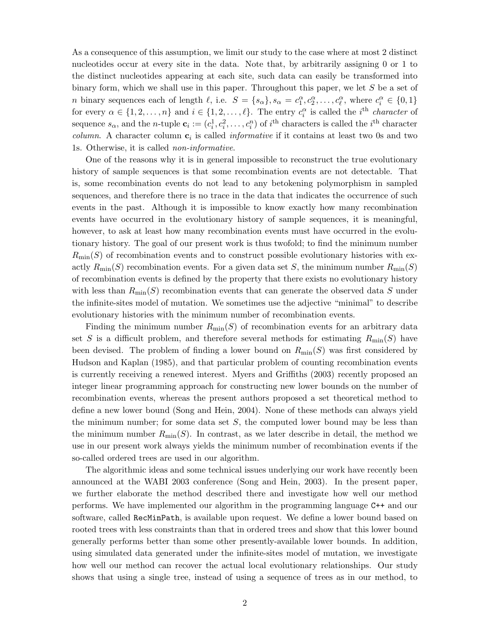As a consequence of this assumption, we limit our study to the case where at most 2 distinct nucleotides occur at every site in the data. Note that, by arbitrarily assigning 0 or 1 to the distinct nucleotides appearing at each site, such data can easily be transformed into binary form, which we shall use in this paper. Throughout this paper, we let S be a set of *n* binary sequences each of length  $\ell$ , i.e.  $S = \{s_{\alpha}\}, s_{\alpha} = c_1^{\alpha}, c_2^{\alpha}, \ldots, c_{\ell}^{\alpha}$ , where  $c_i^{\alpha} \in \{0, 1\}$ for every  $\alpha \in \{1, 2, ..., n\}$  and  $i \in \{1, 2, ..., \ell\}$ . The entry  $c_i^{\alpha}$  is called the *i*<sup>th</sup> *character* of sequence  $s_{\alpha}$ , and the *n*-tuple  $\mathbf{c}_i := (c_i^1, c_i^2, \dots, c_i^n)$  of  $i^{\text{th}}$  characters is called the  $i^{\text{th}}$  character *column.* A character column  $c_i$  is called *informative* if it contains at least two 0s and two 1s. Otherwise, it is called non-informative.

One of the reasons why it is in general impossible to reconstruct the true evolutionary history of sample sequences is that some recombination events are not detectable. That is, some recombination events do not lead to any betokening polymorphism in sampled sequences, and therefore there is no trace in the data that indicates the occurrence of such events in the past. Although it is impossible to know exactly how many recombination events have occurred in the evolutionary history of sample sequences, it is meaningful, however, to ask at least how many recombination events must have occurred in the evolutionary history. The goal of our present work is thus twofold; to find the minimum number  $R_{\text{min}}(S)$  of recombination events and to construct possible evolutionary histories with exactly  $R_{\text{min}}(S)$  recombination events. For a given data set S, the minimum number  $R_{\text{min}}(S)$ of recombination events is defined by the property that there exists no evolutionary history with less than  $R_{\text{min}}(S)$  recombination events that can generate the observed data S under the infinite-sites model of mutation. We sometimes use the adjective "minimal" to describe evolutionary histories with the minimum number of recombination events.

Finding the minimum number  $R_{\min}(S)$  of recombination events for an arbitrary data set S is a difficult problem, and therefore several methods for estimating  $R_{\text{min}}(S)$  have been devised. The problem of finding a lower bound on  $R_{\text{min}}(S)$  was first considered by Hudson and Kaplan (1985), and that particular problem of counting recombination events is currently receiving a renewed interest. Myers and Griffiths (2003) recently proposed an integer linear programming approach for constructing new lower bounds on the number of recombination events, whereas the present authors proposed a set theoretical method to define a new lower bound (Song and Hein, 2004). None of these methods can always yield the minimum number; for some data set  $S$ , the computed lower bound may be less than the minimum number  $R_{\min}(S)$ . In contrast, as we later describe in detail, the method we use in our present work always yields the minimum number of recombination events if the so-called ordered trees are used in our algorithm.

The algorithmic ideas and some technical issues underlying our work have recently been announced at the WABI 2003 conference (Song and Hein, 2003). In the present paper, we further elaborate the method described there and investigate how well our method performs. We have implemented our algorithm in the programming language C++ and our software, called RecMinPath, is available upon request. We define a lower bound based on rooted trees with less constraints than that in ordered trees and show that this lower bound generally performs better than some other presently-available lower bounds. In addition, using simulated data generated under the infinite-sites model of mutation, we investigate how well our method can recover the actual local evolutionary relationships. Our study shows that using a single tree, instead of using a sequence of trees as in our method, to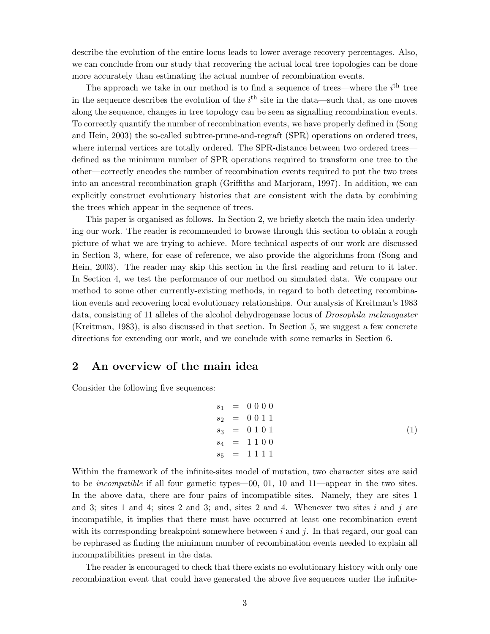describe the evolution of the entire locus leads to lower average recovery percentages. Also, we can conclude from our study that recovering the actual local tree topologies can be done more accurately than estimating the actual number of recombination events.

The approach we take in our method is to find a sequence of trees—where the  $i<sup>th</sup>$  tree in the sequence describes the evolution of the  $i<sup>th</sup>$  site in the data—such that, as one moves along the sequence, changes in tree topology can be seen as signalling recombination events. To correctly quantify the number of recombination events, we have properly defined in (Song and Hein, 2003) the so-called subtree-prune-and-regraft (SPR) operations on ordered trees, where internal vertices are totally ordered. The SPR-distance between two ordered trees defined as the minimum number of SPR operations required to transform one tree to the other—correctly encodes the number of recombination events required to put the two trees into an ancestral recombination graph (Griffiths and Marjoram, 1997). In addition, we can explicitly construct evolutionary histories that are consistent with the data by combining the trees which appear in the sequence of trees.

This paper is organised as follows. In Section 2, we briefly sketch the main idea underlying our work. The reader is recommended to browse through this section to obtain a rough picture of what we are trying to achieve. More technical aspects of our work are discussed in Section 3, where, for ease of reference, we also provide the algorithms from (Song and Hein, 2003). The reader may skip this section in the first reading and return to it later. In Section 4, we test the performance of our method on simulated data. We compare our method to some other currently-existing methods, in regard to both detecting recombination events and recovering local evolutionary relationships. Our analysis of Kreitman's 1983 data, consisting of 11 alleles of the alcohol dehydrogenase locus of *Drosophila melanogaster* (Kreitman, 1983), is also discussed in that section. In Section 5, we suggest a few concrete directions for extending our work, and we conclude with some remarks in Section 6.

## 2 An overview of the main idea

Consider the following five sequences:

$$
s_1 = 0000s_2 = 0011s_3 = 0101s_4 = 1100s_5 = 11111
$$
 (1)

Within the framework of the infinite-sites model of mutation, two character sites are said to be incompatible if all four gametic types—00, 01, 10 and 11—appear in the two sites. In the above data, there are four pairs of incompatible sites. Namely, they are sites 1 and 3; sites 1 and 4; sites 2 and 3; and, sites 2 and 4. Whenever two sites  $i$  and  $j$  are incompatible, it implies that there must have occurred at least one recombination event with its corresponding breakpoint somewhere between  $i$  and  $j$ . In that regard, our goal can be rephrased as finding the minimum number of recombination events needed to explain all incompatibilities present in the data.

The reader is encouraged to check that there exists no evolutionary history with only one recombination event that could have generated the above five sequences under the infinite-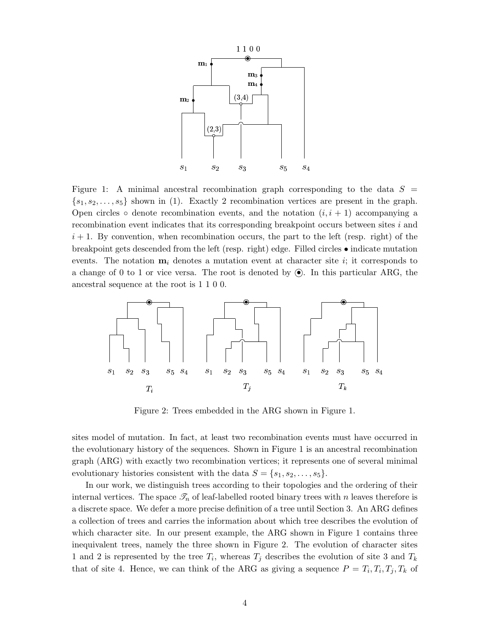

Figure 1: A minimal ancestral recombination graph corresponding to the data  $S =$  $\{s_1, s_2, \ldots, s_5\}$  shown in (1). Exactly 2 recombination vertices are present in the graph. Open circles  $\circ$  denote recombination events, and the notation  $(i, i + 1)$  accompanying a recombination event indicates that its corresponding breakpoint occurs between sites i and  $i+1$ . By convention, when recombination occurs, the part to the left (resp. right) of the breakpoint gets descended from the left (resp. right) edge. Filled circles • indicate mutation events. The notation  $m_i$  denotes a mutation event at character site i; it corresponds to a change of 0 to 1 or vice versa. The root is denoted by  $\odot$ . In this particular ARG, the ancestral sequence at the root is 1 1 0 0.



Figure 2: Trees embedded in the ARG shown in Figure 1.

sites model of mutation. In fact, at least two recombination events must have occurred in the evolutionary history of the sequences. Shown in Figure 1 is an ancestral recombination graph (ARG) with exactly two recombination vertices; it represents one of several minimal evolutionary histories consistent with the data  $S = \{s_1, s_2, \ldots, s_5\}.$ 

In our work, we distinguish trees according to their topologies and the ordering of their internal vertices. The space  $\mathcal{I}_n$  of leaf-labelled rooted binary trees with n leaves therefore is a discrete space. We defer a more precise definition of a tree until Section 3. An ARG defines a collection of trees and carries the information about which tree describes the evolution of which character site. In our present example, the ARG shown in Figure 1 contains three inequivalent trees, namely the three shown in Figure 2. The evolution of character sites 1 and 2 is represented by the tree  $T_i$ , whereas  $T_j$  describes the evolution of site 3 and  $T_k$ that of site 4. Hence, we can think of the ARG as giving a sequence  $P = T_i, T_i, T_j, T_k$  of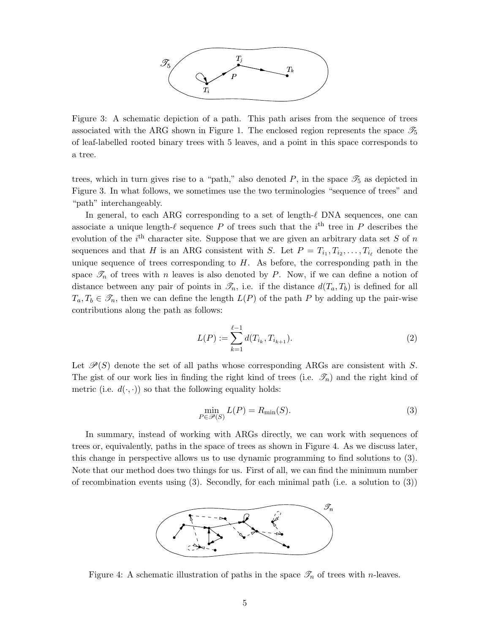

Figure 3: A schematic depiction of a path. This path arises from the sequence of trees associated with the ARG shown in Figure 1. The enclosed region represents the space  $\mathcal{I}_5$ of leaf-labelled rooted binary trees with 5 leaves, and a point in this space corresponds to a tree.

trees, which in turn gives rise to a "path," also denoted  $P$ , in the space  $\mathscr{T}_5$  as depicted in Figure 3. In what follows, we sometimes use the two terminologies "sequence of trees" and "path" interchangeably.

In general, to each ARG corresponding to a set of length- $\ell$  DNA sequences, one can associate a unique length- $\ell$  sequence P of trees such that the  $i<sup>th</sup>$  tree in P describes the evolution of the  $i<sup>th</sup>$  character site. Suppose that we are given an arbitrary data set S of n sequences and that H is an ARG consistent with S. Let  $P = T_{i_1}, T_{i_2}, \ldots, T_{i_\ell}$  denote the unique sequence of trees corresponding to  $H$ . As before, the corresponding path in the space  $\mathscr{T}_n$  of trees with n leaves is also denoted by P. Now, if we can define a notion of distance between any pair of points in  $\mathcal{T}_n$ , i.e. if the distance  $d(T_a, T_b)$  is defined for all  $T_a, T_b \in \mathcal{F}_n$ , then we can define the length  $L(P)$  of the path P by adding up the pair-wise contributions along the path as follows:

$$
L(P) := \sum_{k=1}^{\ell-1} d(T_{i_k}, T_{i_{k+1}}).
$$
\n(2)

Let  $\mathcal{P}(S)$  denote the set of all paths whose corresponding ARGs are consistent with S. The gist of our work lies in finding the right kind of trees (i.e.  $\mathscr{T}_n$ ) and the right kind of metric (i.e.  $d(\cdot, \cdot)$ ) so that the following equality holds:

$$
\min_{P \in \mathcal{P}(S)} L(P) = R_{\min}(S). \tag{3}
$$

In summary, instead of working with ARGs directly, we can work with sequences of trees or, equivalently, paths in the space of trees as shown in Figure 4. As we discuss later, this change in perspective allows us to use dynamic programming to find solutions to (3). Note that our method does two things for us. First of all, we can find the minimum number of recombination events using  $(3)$ . Secondly, for each minimal path (i.e. a solution to  $(3)$ )



Figure 4: A schematic illustration of paths in the space  $\mathcal{T}_n$  of trees with *n*-leaves.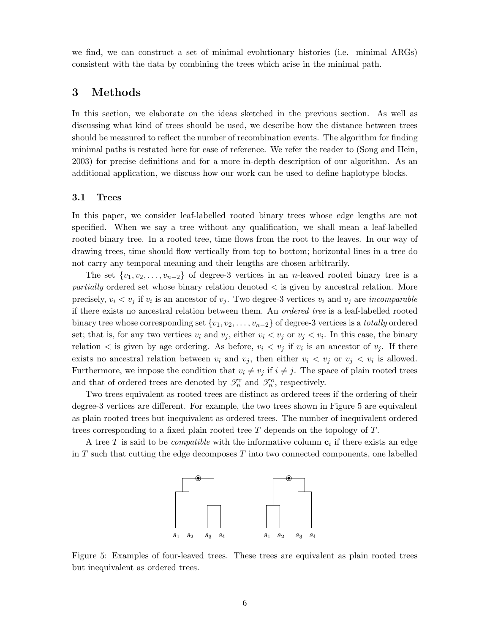we find, we can construct a set of minimal evolutionary histories (i.e. minimal ARGs) consistent with the data by combining the trees which arise in the minimal path.

# 3 Methods

In this section, we elaborate on the ideas sketched in the previous section. As well as discussing what kind of trees should be used, we describe how the distance between trees should be measured to reflect the number of recombination events. The algorithm for finding minimal paths is restated here for ease of reference. We refer the reader to (Song and Hein, 2003) for precise definitions and for a more in-depth description of our algorithm. As an additional application, we discuss how our work can be used to define haplotype blocks.

### 3.1 Trees

In this paper, we consider leaf-labelled rooted binary trees whose edge lengths are not specified. When we say a tree without any qualification, we shall mean a leaf-labelled rooted binary tree. In a rooted tree, time flows from the root to the leaves. In our way of drawing trees, time should flow vertically from top to bottom; horizontal lines in a tree do not carry any temporal meaning and their lengths are chosen arbitrarily.

The set  $\{v_1, v_2, \ldots, v_{n-2}\}$  of degree-3 vertices in an n-leaved rooted binary tree is a partially ordered set whose binary relation denoted < is given by ancestral relation. More precisely,  $v_i < v_j$  if  $v_i$  is an ancestor of  $v_j$ . Two degree-3 vertices  $v_i$  and  $v_j$  are *incomparable* if there exists no ancestral relation between them. An ordered tree is a leaf-labelled rooted binary tree whose corresponding set  $\{v_1, v_2, \ldots, v_{n-2}\}$  of degree-3 vertices is a *totally* ordered set; that is, for any two vertices  $v_i$  and  $v_j$ , either  $v_i < v_j$  or  $v_j < v_i$ . In this case, the binary relation  $\lt$  is given by age ordering. As before,  $v_i \lt v_j$  if  $v_i$  is an ancestor of  $v_j$ . If there exists no ancestral relation between  $v_i$  and  $v_j$ , then either  $v_i < v_j$  or  $v_j < v_i$  is allowed. Furthermore, we impose the condition that  $v_i \neq v_j$  if  $i \neq j$ . The space of plain rooted trees and that of ordered trees are denoted by  $\mathcal{T}_n^r$  and  $\mathcal{T}_n^o$ , respectively.

Two trees equivalent as rooted trees are distinct as ordered trees if the ordering of their degree-3 vertices are different. For example, the two trees shown in Figure 5 are equivalent as plain rooted trees but inequivalent as ordered trees. The number of inequivalent ordered trees corresponding to a fixed plain rooted tree  $T$  depends on the topology of  $T$ .

A tree T is said to be *compatible* with the informative column  $c_i$  if there exists an edge in T such that cutting the edge decomposes  $T$  into two connected components, one labelled



Figure 5: Examples of four-leaved trees. These trees are equivalent as plain rooted trees but inequivalent as ordered trees.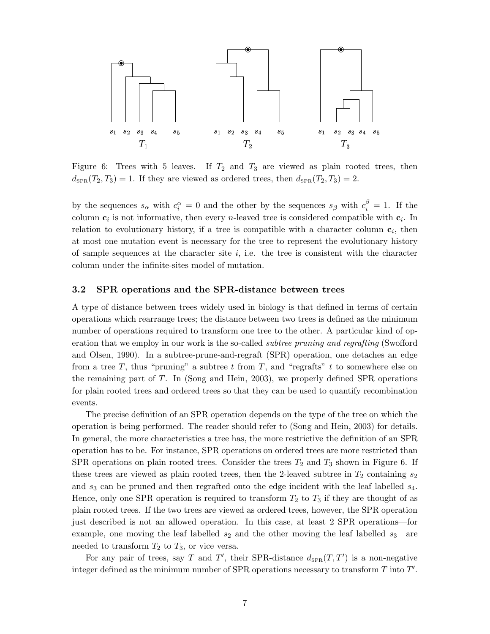

Figure 6: Trees with 5 leaves. If  $T_2$  and  $T_3$  are viewed as plain rooted trees, then  $d_{\text{SPR}}(T_2, T_3) = 1$ . If they are viewed as ordered trees, then  $d_{\text{SPR}}(T_2, T_3) = 2$ .

by the sequences  $s_{\alpha}$  with  $c_i^{\alpha} = 0$  and the other by the sequences  $s_{\beta}$  with  $c_i^{\beta} = 1$ . If the column  $c_i$  is not informative, then every *n*-leaved tree is considered compatible with  $c_i$ . In relation to evolutionary history, if a tree is compatible with a character column  $c_i$ , then at most one mutation event is necessary for the tree to represent the evolutionary history of sample sequences at the character site  $i$ , i.e. the tree is consistent with the character column under the infinite-sites model of mutation.

### 3.2 SPR operations and the SPR-distance between trees

A type of distance between trees widely used in biology is that defined in terms of certain operations which rearrange trees; the distance between two trees is defined as the minimum number of operations required to transform one tree to the other. A particular kind of operation that we employ in our work is the so-called *subtree pruning and regrafting* (Swofford and Olsen, 1990). In a subtree-prune-and-regraft (SPR) operation, one detaches an edge from a tree T, thus "pruning" a subtree t from T, and "regrafts" t to somewhere else on the remaining part of T. In (Song and Hein, 2003), we properly defined SPR operations for plain rooted trees and ordered trees so that they can be used to quantify recombination events.

The precise definition of an SPR operation depends on the type of the tree on which the operation is being performed. The reader should refer to (Song and Hein, 2003) for details. In general, the more characteristics a tree has, the more restrictive the definition of an SPR operation has to be. For instance, SPR operations on ordered trees are more restricted than SPR operations on plain rooted trees. Consider the trees  $T_2$  and  $T_3$  shown in Figure 6. If these trees are viewed as plain rooted trees, then the 2-leaved subtree in  $T_2$  containing  $s_2$ and  $s_3$  can be pruned and then regrafted onto the edge incident with the leaf labelled  $s_4$ . Hence, only one SPR operation is required to transform  $T_2$  to  $T_3$  if they are thought of as plain rooted trees. If the two trees are viewed as ordered trees, however, the SPR operation just described is not an allowed operation. In this case, at least 2 SPR operations—for example, one moving the leaf labelled  $s_2$  and the other moving the leaf labelled  $s_3$ —are needed to transform  $T_2$  to  $T_3$ , or vice versa.

For any pair of trees, say T and T', their SPR-distance  $d_{SPR}(T, T')$  is a non-negative integer defined as the minimum number of SPR operations necessary to transform  $T$  into  $T'$ .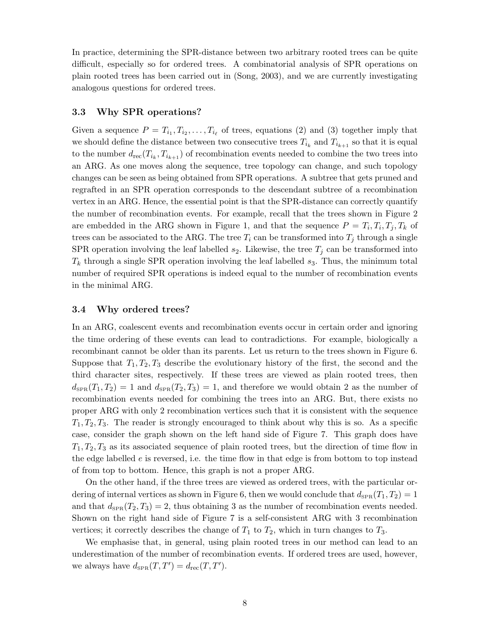In practice, determining the SPR-distance between two arbitrary rooted trees can be quite difficult, especially so for ordered trees. A combinatorial analysis of SPR operations on plain rooted trees has been carried out in (Song, 2003), and we are currently investigating analogous questions for ordered trees.

### 3.3 Why SPR operations?

Given a sequence  $P = T_{i_1}, T_{i_2}, \ldots, T_{i_\ell}$  of trees, equations (2) and (3) together imply that we should define the distance between two consecutive trees  $T_{i_k}$  and  $T_{i_{k+1}}$  so that it is equal to the number  $d_{\text{rec}}(T_{i_k}, T_{i_{k+1}})$  of recombination events needed to combine the two trees into an ARG. As one moves along the sequence, tree topology can change, and such topology changes can be seen as being obtained from SPR operations. A subtree that gets pruned and regrafted in an SPR operation corresponds to the descendant subtree of a recombination vertex in an ARG. Hence, the essential point is that the SPR-distance can correctly quantify the number of recombination events. For example, recall that the trees shown in Figure 2 are embedded in the ARG shown in Figure 1, and that the sequence  $P = T_i, T_i, T_j, T_k$  of trees can be associated to the ARG. The tree  $T_i$  can be transformed into  $T_j$  through a single SPR operation involving the leaf labelled  $s_2$ . Likewise, the tree  $T_j$  can be transformed into  $T_k$  through a single SPR operation involving the leaf labelled  $s_3$ . Thus, the minimum total number of required SPR operations is indeed equal to the number of recombination events in the minimal ARG.

### 3.4 Why ordered trees?

In an ARG, coalescent events and recombination events occur in certain order and ignoring the time ordering of these events can lead to contradictions. For example, biologically a recombinant cannot be older than its parents. Let us return to the trees shown in Figure 6. Suppose that  $T_1, T_2, T_3$  describe the evolutionary history of the first, the second and the third character sites, respectively. If these trees are viewed as plain rooted trees, then  $d_{\text{SPR}}(T_1, T_2) = 1$  and  $d_{\text{SPR}}(T_2, T_3) = 1$ , and therefore we would obtain 2 as the number of recombination events needed for combining the trees into an ARG. But, there exists no proper ARG with only 2 recombination vertices such that it is consistent with the sequence  $T_1, T_2, T_3$ . The reader is strongly encouraged to think about why this is so. As a specific case, consider the graph shown on the left hand side of Figure 7. This graph does have  $T_1, T_2, T_3$  as its associated sequence of plain rooted trees, but the direction of time flow in the edge labelled  $e$  is reversed, i.e. the time flow in that edge is from bottom to top instead of from top to bottom. Hence, this graph is not a proper ARG.

On the other hand, if the three trees are viewed as ordered trees, with the particular ordering of internal vertices as shown in Figure 6, then we would conclude that  $d_{\text{SPR}}(T_1, T_2) = 1$ and that  $d_{\text{SPR}}(T_2, T_3) = 2$ , thus obtaining 3 as the number of recombination events needed. Shown on the right hand side of Figure 7 is a self-consistent ARG with 3 recombination vertices; it correctly describes the change of  $T_1$  to  $T_2$ , which in turn changes to  $T_3$ .

We emphasise that, in general, using plain rooted trees in our method can lead to an underestimation of the number of recombination events. If ordered trees are used, however, we always have  $d_{\text{SPR}}(T, T') = d_{\text{rec}}(T, T').$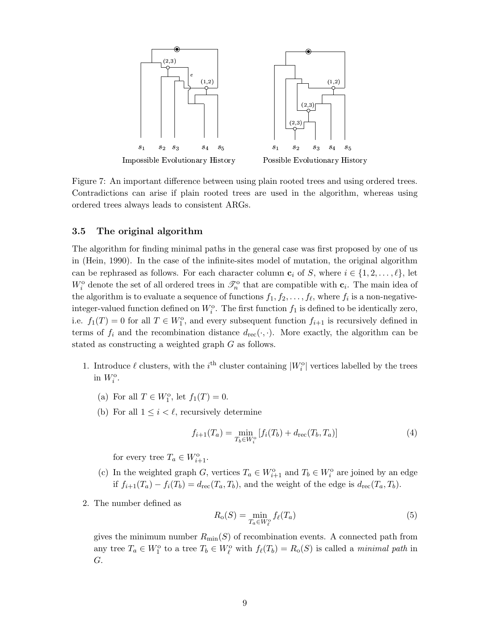

Figure 7: An important difference between using plain rooted trees and using ordered trees. Contradictions can arise if plain rooted trees are used in the algorithm, whereas using ordered trees always leads to consistent ARGs.

### 3.5 The original algorithm

The algorithm for finding minimal paths in the general case was first proposed by one of us in (Hein, 1990). In the case of the infinite-sites model of mutation, the original algorithm can be rephrased as follows. For each character column  $c_i$  of S, where  $i \in \{1, 2, \ldots, \ell\}$ , let  $W_i^{\text{o}}$  denote the set of all ordered trees in  $\mathcal{I}_n^{\text{o}}$  that are compatible with  $c_i$ . The main idea of the algorithm is to evaluate a sequence of functions  $f_1, f_2, \ldots, f_\ell$ , where  $f_i$  is a non-negativeinteger-valued function defined on  $W_i^{\text{o}}$ . The first function  $f_1$  is defined to be identically zero, i.e.  $f_1(T) = 0$  for all  $T \in W_1^{\text{o}}$ , and every subsequent function  $f_{i+1}$  is recursively defined in terms of  $f_i$  and the recombination distance  $d_{\text{rec}}(\cdot, \cdot)$ . More exactly, the algorithm can be stated as constructing a weighted graph G as follows.

- 1. Introduce  $\ell$  clusters, with the i<sup>th</sup> cluster containing  $|W_i^{\text{o}}|$  vertices labelled by the trees in  $W_i^{\text{o}}$ .
	- (a) For all  $T \in W_1^{\text{o}}$ , let  $f_1(T) = 0$ .
	- (b) For all  $1 \leq i \leq \ell$ , recursively determine

$$
f_{i+1}(T_a) = \min_{T_b \in W_i^{\circ}} [f_i(T_b) + d_{\text{rec}}(T_b, T_a)] \tag{4}
$$

for every tree  $T_a \in W_{i+1}^{\circ}$ .

- (c) In the weighted graph G, vertices  $T_a \in W_{i+1}^{\text{o}}$  and  $T_b \in W_i^{\text{o}}$  are joined by an edge if  $f_{i+1}(T_a) - f_i(T_b) = d_{\text{rec}}(T_a, T_b)$ , and the weight of the edge is  $d_{\text{rec}}(T_a, T_b)$ .
- 2. The number defined as

$$
R_{\text{o}}(S) = \min_{T_a \in W_\ell^{\text{o}}} f_\ell(T_a) \tag{5}
$$

gives the minimum number  $R_{\text{min}}(S)$  of recombination events. A connected path from any tree  $T_a \in W_1^{\circ}$  to a tree  $T_b \in W_\ell^{\circ}$  with  $f_\ell(T_b) = R_o(S)$  is called a minimal path in G.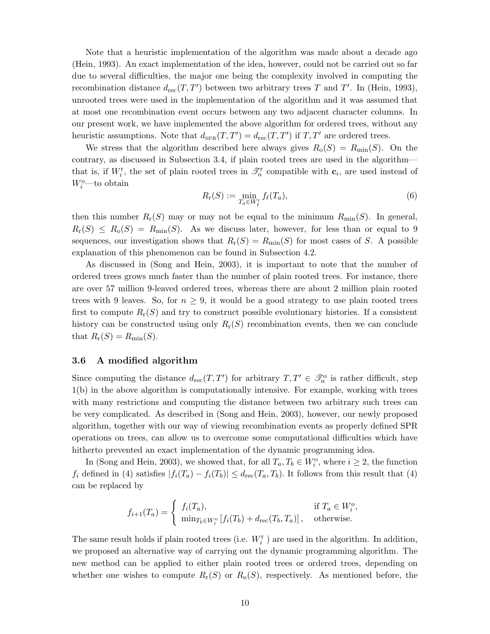Note that a heuristic implementation of the algorithm was made about a decade ago (Hein, 1993). An exact implementation of the idea, however, could not be carried out so far due to several difficulties, the major one being the complexity involved in computing the recombination distance  $d_{\text{rec}}(T, T')$  between two arbitrary trees T and T'. In (Hein, 1993), unrooted trees were used in the implementation of the algorithm and it was assumed that at most one recombination event occurs between any two adjacent character columns. In our present work, we have implemented the above algorithm for ordered trees, without any heuristic assumptions. Note that  $d_{\text{SPR}}(T, T') = d_{\text{rec}}(T, T')$  if  $T, T'$  are ordered trees.

We stress that the algorithm described here always gives  $R_o(S) = R_{min}(S)$ . On the contrary, as discussed in Subsection 3.4, if plain rooted trees are used in the algorithm that is, if  $W_i^{\rm r}$ , the set of plain rooted trees in  $\mathcal{T}_n^{\rm r}$  compatible with  $c_i$ , are used instead of  $W_i^{\text{o}}$ —to obtain

$$
R_{\mathbf{r}}(S) := \min_{T_a \in W_{\ell}^*} f_{\ell}(T_a),\tag{6}
$$

then this number  $R_r(S)$  may or may not be equal to the minimum  $R_{\text{min}}(S)$ . In general,  $R_r(S) \le R_o(S) = R_{min}(S)$ . As we discuss later, however, for less than or equal to 9 sequences, our investigation shows that  $R_r(S) = R_{\text{min}}(S)$  for most cases of S. A possible explanation of this phenomenon can be found in Subsection 4.2.

As discussed in (Song and Hein, 2003), it is important to note that the number of ordered trees grows much faster than the number of plain rooted trees. For instance, there are over 57 million 9-leaved ordered trees, whereas there are about 2 million plain rooted trees with 9 leaves. So, for  $n \geq 9$ , it would be a good strategy to use plain rooted trees first to compute  $R_r(S)$  and try to construct possible evolutionary histories. If a consistent history can be constructed using only  $R_r(S)$  recombination events, then we can conclude that  $R_{\rm r}(S) = R_{\rm min}(S)$ .

### 3.6 A modified algorithm

Since computing the distance  $d_{\text{rec}}(T, T')$  for arbitrary  $T, T' \in \mathcal{F}_n^{\text{o}}$  is rather difficult, step 1(b) in the above algorithm is computationally intensive. For example, working with trees with many restrictions and computing the distance between two arbitrary such trees can be very complicated. As described in (Song and Hein, 2003), however, our newly proposed algorithm, together with our way of viewing recombination events as properly defined SPR operations on trees, can allow us to overcome some computational difficulties which have hitherto prevented an exact implementation of the dynamic programming idea.

In (Song and Hein, 2003), we showed that, for all  $T_a, T_b \in W_i^{\text{o}}$ , where  $i \geq 2$ , the function  $f_i$  defined in (4) satisfies  $|f_i(T_a) - f_i(T_b)| \leq d_{\text{rec}}(T_a, T_b)$ . It follows from this result that (4) can be replaced by

$$
f_{i+1}(T_a) = \begin{cases} f_i(T_a), & \text{if } T_a \in W_i^o, \\ \min_{T_b \in W_i^o} [f_i(T_b) + d_{\text{rec}}(T_b, T_a)], & \text{otherwise.} \end{cases}
$$

The same result holds if plain rooted trees (i.e.  $W_i^{\rm r}$ ) are used in the algorithm. In addition, we proposed an alternative way of carrying out the dynamic programming algorithm. The new method can be applied to either plain rooted trees or ordered trees, depending on whether one wishes to compute  $R_r(S)$  or  $R_o(S)$ , respectively. As mentioned before, the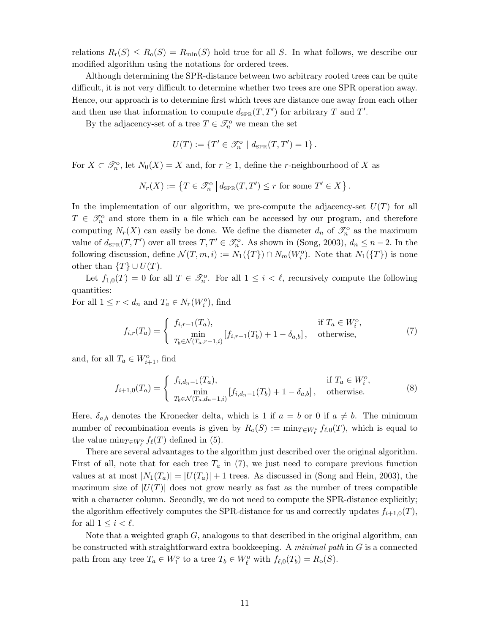relations  $R_r(S) \leq R_o(S) = R_{\text{min}}(S)$  hold true for all S. In what follows, we describe our modified algorithm using the notations for ordered trees.

Although determining the SPR-distance between two arbitrary rooted trees can be quite difficult, it is not very difficult to determine whether two trees are one SPR operation away. Hence, our approach is to determine first which trees are distance one away from each other and then use that information to compute  $d_{\text{SPR}}(T, T')$  for arbitrary T and T'.

By the adjacency-set of a tree  $T \in \mathcal{I}_n^{\text{o}}$  we mean the set

$$
U(T) := \{ T' \in \mathcal{S}_n^{\circ} \mid d_{\text{SPR}}(T, T') = 1 \}.
$$

For  $X \subset \mathcal{S}_n^{\circ}$ , let  $N_0(X) = X$  and, for  $r \geq 1$ , define the *r*-neighbourhood of X as

$$
N_r(X) := \left\{ T \in \mathcal{S}_n^{\text{o}} \, \middle| \, d_{\text{SPR}}(T, T') \le r \text{ for some } T' \in X \right\}.
$$

In the implementation of our algorithm, we pre-compute the adjacency-set  $U(T)$  for all  $T \in \mathcal{S}_n^{\circ}$  and store them in a file which can be accessed by our program, and therefore computing  $N_r(X)$  can easily be done. We define the diameter  $d_n$  of  $\mathcal{I}_n^o$  as the maximum value of  $d_{\text{SPR}}(T, T')$  over all trees  $T, T' \in \mathcal{I}_n^{\text{o}}$ . As shown in (Song, 2003),  $d_n \leq n-2$ . In the following discussion, define  $\mathcal{N}(T,m,i) := N_1(\lbrace T \rbrace) \cap N_m(W_i^{\circ})$ . Note that  $N_1(\lbrace T \rbrace)$  is none other than  $\{T\} \cup U(T)$ .

Let  $f_{1,0}(T) = 0$  for all  $T \in \mathcal{S}_n^{\circ}$ . For all  $1 \leq i \leq \ell$ , recursively compute the following quantities:

For all  $1 \leq r < d_n$  and  $T_a \in N_r(W_i^{\circ})$ , find

$$
f_{i,r}(T_a) = \begin{cases} f_{i,r-1}(T_a), & \text{if } T_a \in W_i^o, \\ \min_{T_b \in \mathcal{N}(T_a,r-1,i)} [f_{i,r-1}(T_b) + 1 - \delta_{a,b}], & \text{otherwise,} \end{cases}
$$
(7)

and, for all  $T_a \in W_{i+1}^{\circ}$ , find

$$
f_{i+1,0}(T_a) = \begin{cases} f_{i,d_n-1}(T_a), & \text{if } T_a \in W_i^{\text{o}}, \\ \min_{T_b \in \mathcal{N}(T_a, d_n-1, i)} [f_{i,d_n-1}(T_b) + 1 - \delta_{a,b}], & \text{otherwise.} \end{cases}
$$
(8)

Here,  $\delta_{a,b}$  denotes the Kronecker delta, which is 1 if  $a = b$  or 0 if  $a \neq b$ . The minimum number of recombination events is given by  $R_o(S) := \min_{T \in W_\ell^o} f_{\ell,0}(T)$ , which is equal to the value  $\min_{T \in W_\ell^{\circ}} f_\ell(T)$  defined in (5).

There are several advantages to the algorithm just described over the original algorithm. First of all, note that for each tree  $T_a$  in (7), we just need to compare previous function values at at most  $|N_1(T_a)| = |U(T_a)| + 1$  trees. As discussed in (Song and Hein, 2003), the maximum size of  $|U(T)|$  does not grow nearly as fast as the number of trees compatible with a character column. Secondly, we do not need to compute the SPR-distance explicitly; the algorithm effectively computes the SPR-distance for us and correctly updates  $f_{i+1,0}(T)$ , for all  $1 \leq i < \ell$ .

Note that a weighted graph  $G$ , analogous to that described in the original algorithm, can be constructed with straightforward extra bookkeeping. A minimal path in  $G$  is a connected path from any tree  $T_a \in W_1^{\text{o}}$  to a tree  $T_b \in W_\ell^{\text{o}}$  with  $f_{\ell,0}(T_b) = R_o(S)$ .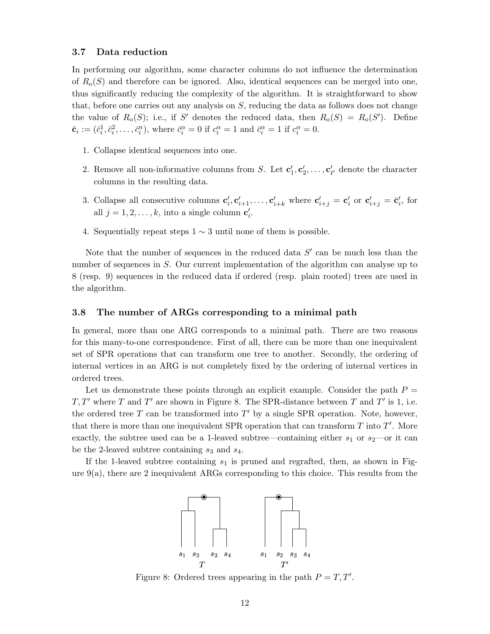### 3.7 Data reduction

In performing our algorithm, some character columns do not influence the determination of  $R_0(S)$  and therefore can be ignored. Also, identical sequences can be merged into one, thus significantly reducing the complexity of the algorithm. It is straightforward to show that, before one carries out any analysis on  $S$ , reducing the data as follows does not change the value of  $R_0(S)$ ; i.e., if S' denotes the reduced data, then  $R_0(S) = R_0(S')$ . Define  $\bar{\mathbf{c}}_i := (\bar{c}_i^1, \bar{c}_i^2, \dots, \bar{c}_i^n)$ , where  $\bar{c}_i^\alpha = 0$  if  $c_i^\alpha = 1$  and  $\bar{c}_i^\alpha = 1$  if  $c_i^\alpha = 0$ .

- 1. Collapse identical sequences into one.
- 2. Remove all non-informative columns from S. Let  $\mathbf{c}'_1, \mathbf{c}'_2, \ldots, \mathbf{c}'_{\ell'}$  denote the character columns in the resulting data.
- 3. Collapse all consecutive columns  $\mathbf{c}'_i, \mathbf{c}'_{i+1}, \ldots, \mathbf{c}'_{i+k}$  where  $\mathbf{c}'_{i+j} = \mathbf{c}'_i$  or  $\mathbf{c}'_{i+j} = \bar{\mathbf{c}}'_i$ , for all  $j = 1, 2, ..., k$ , into a single column  $c'_i$ .
- 4. Sequentially repeat steps  $1 \sim 3$  until none of them is possible.

Note that the number of sequences in the reduced data  $S'$  can be much less than the number of sequences in S. Our current implementation of the algorithm can analyse up to 8 (resp. 9) sequences in the reduced data if ordered (resp. plain rooted) trees are used in the algorithm.

### 3.8 The number of ARGs corresponding to a minimal path

In general, more than one ARG corresponds to a minimal path. There are two reasons for this many-to-one correspondence. First of all, there can be more than one inequivalent set of SPR operations that can transform one tree to another. Secondly, the ordering of internal vertices in an ARG is not completely fixed by the ordering of internal vertices in ordered trees.

Let us demonstrate these points through an explicit example. Consider the path  $P =$  $T, T'$  where T and T' are shown in Figure 8. The SPR-distance between T and T' is 1, i.e. the ordered tree  $T$  can be transformed into  $T'$  by a single SPR operation. Note, however, that there is more than one inequivalent SPR operation that can transform  $T$  into  $T'$ . More exactly, the subtree used can be a 1-leaved subtree—containing either  $s_1$  or  $s_2$ —or it can be the 2-leaved subtree containing  $s_3$  and  $s_4$ .

If the 1-leaved subtree containing  $s_1$  is pruned and regrafted, then, as shown in Figure  $9(a)$ , there are 2 inequivalent ARGs corresponding to this choice. This results from the



Figure 8: Ordered trees appearing in the path  $P = T, T'$ .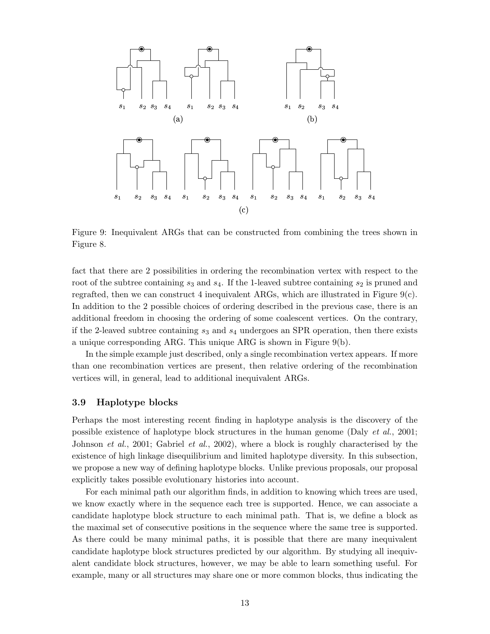

Figure 9: Inequivalent ARGs that can be constructed from combining the trees shown in Figure 8.

fact that there are 2 possibilities in ordering the recombination vertex with respect to the root of the subtree containing  $s_3$  and  $s_4$ . If the 1-leaved subtree containing  $s_2$  is pruned and regrafted, then we can construct 4 inequivalent ARGs, which are illustrated in Figure  $9(c)$ . In addition to the 2 possible choices of ordering described in the previous case, there is an additional freedom in choosing the ordering of some coalescent vertices. On the contrary, if the 2-leaved subtree containing  $s_3$  and  $s_4$  undergoes an SPR operation, then there exists a unique corresponding ARG. This unique ARG is shown in Figure 9(b).

In the simple example just described, only a single recombination vertex appears. If more than one recombination vertices are present, then relative ordering of the recombination vertices will, in general, lead to additional inequivalent ARGs.

### 3.9 Haplotype blocks

Perhaps the most interesting recent finding in haplotype analysis is the discovery of the possible existence of haplotype block structures in the human genome (Daly  $et al., 2001;$ Johnson et al., 2001; Gabriel et al., 2002), where a block is roughly characterised by the existence of high linkage disequilibrium and limited haplotype diversity. In this subsection, we propose a new way of defining haplotype blocks. Unlike previous proposals, our proposal explicitly takes possible evolutionary histories into account.

For each minimal path our algorithm finds, in addition to knowing which trees are used, we know exactly where in the sequence each tree is supported. Hence, we can associate a candidate haplotype block structure to each minimal path. That is, we define a block as the maximal set of consecutive positions in the sequence where the same tree is supported. As there could be many minimal paths, it is possible that there are many inequivalent candidate haplotype block structures predicted by our algorithm. By studying all inequivalent candidate block structures, however, we may be able to learn something useful. For example, many or all structures may share one or more common blocks, thus indicating the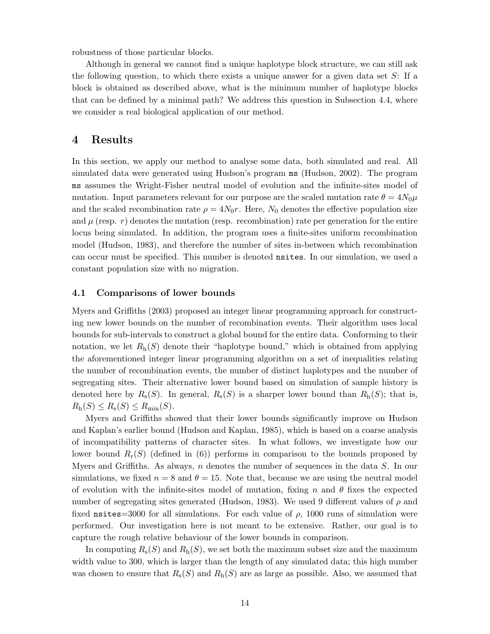robustness of those particular blocks.

Although in general we cannot find a unique haplotype block structure, we can still ask the following question, to which there exists a unique answer for a given data set  $S$ : If a block is obtained as described above, what is the minimum number of haplotype blocks that can be defined by a minimal path? We address this question in Subsection 4.4, where we consider a real biological application of our method.

## 4 Results

In this section, we apply our method to analyse some data, both simulated and real. All simulated data were generated using Hudson's program ms (Hudson, 2002). The program ms assumes the Wright-Fisher neutral model of evolution and the infinite-sites model of mutation. Input parameters relevant for our purpose are the scaled mutation rate  $\theta = 4N_0\mu$ and the scaled recombination rate  $\rho = 4N_0r$ . Here,  $N_0$  denotes the effective population size and  $\mu$  (resp. r) denotes the mutation (resp. recombination) rate per generation for the entire locus being simulated. In addition, the program uses a finite-sites uniform recombination model (Hudson, 1983), and therefore the number of sites in-between which recombination can occur must be specified. This number is denoted nsites. In our simulation, we used a constant population size with no migration.

#### 4.1 Comparisons of lower bounds

Myers and Griffiths (2003) proposed an integer linear programming approach for constructing new lower bounds on the number of recombination events. Their algorithm uses local bounds for sub-intervals to construct a global bound for the entire data. Conforming to their notation, we let  $R_h(S)$  denote their "haplotype bound," which is obtained from applying the aforementioned integer linear programming algorithm on a set of inequalities relating the number of recombination events, the number of distinct haplotypes and the number of segregating sites. Their alternative lower bound based on simulation of sample history is denoted here by  $R_s(S)$ . In general,  $R_s(S)$  is a sharper lower bound than  $R_h(S)$ ; that is,  $R_{\rm h}(S) \leq R_{\rm s}(S) \leq R_{\rm min}(S).$ 

Myers and Griffiths showed that their lower bounds significantly improve on Hudson and Kaplan's earlier bound (Hudson and Kaplan, 1985), which is based on a coarse analysis of incompatibility patterns of character sites. In what follows, we investigate how our lower bound  $R_r(S)$  (defined in (6)) performs in comparison to the bounds proposed by Myers and Griffiths. As always,  $n$  denotes the number of sequences in the data  $S$ . In our simulations, we fixed  $n = 8$  and  $\theta = 15$ . Note that, because we are using the neutral model of evolution with the infinite-sites model of mutation, fixing n and  $\theta$  fixes the expected number of segregating sites generated (Hudson, 1983). We used 9 different values of  $\rho$  and fixed nsites=3000 for all simulations. For each value of  $\rho$ , 1000 runs of simulation were performed. Our investigation here is not meant to be extensive. Rather, our goal is to capture the rough relative behaviour of the lower bounds in comparison.

In computing  $R_s(S)$  and  $R_h(S)$ , we set both the maximum subset size and the maximum width value to 300, which is larger than the length of any simulated data; this high number was chosen to ensure that  $R_s(S)$  and  $R_h(S)$  are as large as possible. Also, we assumed that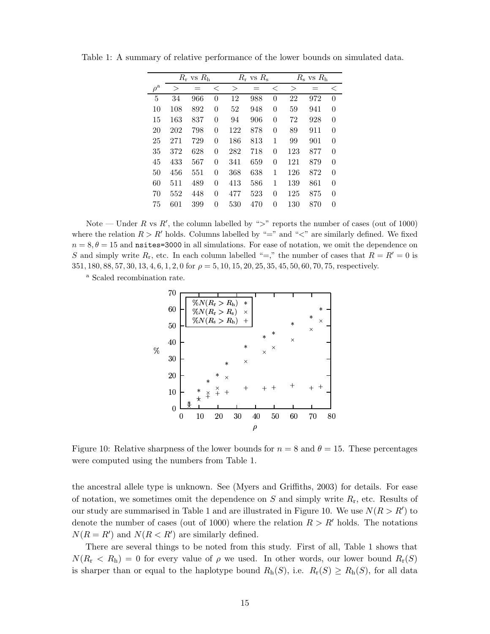|                   | $R_r$ vs $R_h$ |     |                | $R_r$ vs $R_s$ |     |          | $R_{\rm s}$ vs $R_{\rm h}$ |     |                |
|-------------------|----------------|-----|----------------|----------------|-----|----------|----------------------------|-----|----------------|
| $\rho^{\text{a}}$ | $\rm{>}$       |     | $\,<\,$        | $\rm{>}$       | $=$ | $\,<\,$  | $\rm{>}$                   |     | <              |
| 5                 | 34             | 966 | 0              | 12             | 988 | $\theta$ | 22                         | 972 | $\overline{0}$ |
| 10                | 108            | 892 | 0              | 52             | 948 | $\theta$ | 59                         | 941 | 0              |
| 15                | 163            | 837 | $\overline{0}$ | 94             | 906 | $\theta$ | 72                         | 928 | $\overline{0}$ |
| 20                | 202            | 798 | $\overline{0}$ | 122            | 878 | $\theta$ | 89                         | 911 | $\overline{0}$ |
| 25                | 271            | 729 | $\overline{0}$ | 186            | 813 | 1        | 99                         | 901 | 0              |
| 35                | 372            | 628 | 0              | 282            | 718 | $\theta$ | 123                        | 877 | $\overline{0}$ |
| 45                | 433            | 567 | 0              | 341            | 659 | $\theta$ | 121                        | 879 | $\overline{0}$ |
| 50                | 456            | 551 | 0              | 368            | 638 | 1        | 126                        | 872 | 0              |
| 60                | 511            | 489 | 0              | 413            | 586 | 1        | 139                        | 861 | $\overline{0}$ |
| 70                | 552            | 448 | 0              | 477            | 523 | $\theta$ | 125                        | 875 | $\theta$       |
| 75                | 601            | 399 | 0              | 530            | 470 | 0        | 130                        | 870 | 0              |

Table 1: A summary of relative performance of the lower bounds on simulated data.

Note — Under R vs R', the column labelled by ">" reports the number of cases (out of 1000) where the relation  $R > R'$  holds. Columns labelled by "=" and "<" are similarly defined. We fixed  $n = 8, \theta = 15$  and nsites=3000 in all simulations. For ease of notation, we omit the dependence on S and simply write  $R_r$ , etc. In each column labelled "=," the number of cases that  $R = R' = 0$  is  $351, 180, 88, 57, 30, 13, 4, 6, 1, 2, 0$  for  $\rho = 5, 10, 15, 20, 25, 35, 45, 50, 60, 70, 75$ , respectively.

<sup>a</sup> Scaled recombination rate.



Figure 10: Relative sharpness of the lower bounds for  $n = 8$  and  $\theta = 15$ . These percentages were computed using the numbers from Table 1.

the ancestral allele type is unknown. See (Myers and Griffiths, 2003) for details. For ease of notation, we sometimes omit the dependence on  $S$  and simply write  $R_r$ , etc. Results of our study are summarised in Table 1 and are illustrated in Figure 10. We use  $N(R > R')$  to denote the number of cases (out of 1000) where the relation  $R > R'$  holds. The notations  $N(R = R')$  and  $N(R < R')$  are similarly defined.

There are several things to be noted from this study. First of all, Table 1 shows that  $N(R_r < R_h) = 0$  for every value of  $\rho$  we used. In other words, our lower bound  $R_r(S)$ is sharper than or equal to the haplotype bound  $R_h(S)$ , i.e.  $R_r(S) \ge R_h(S)$ , for all data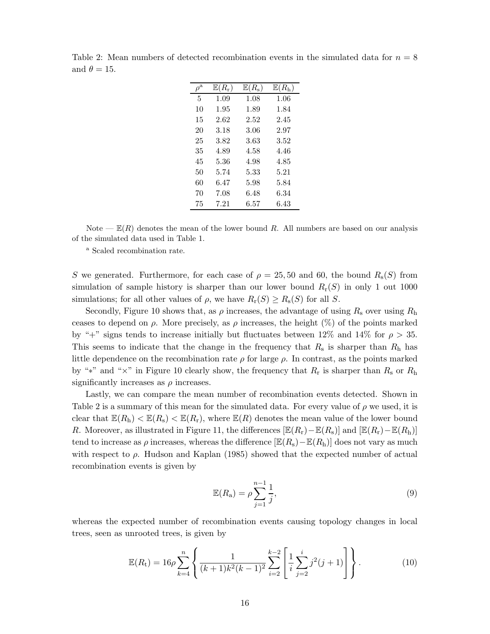| $\rho^{\rm a}$ | $\mathbb{E}(R_{\rm r})$ | $E(R_{\rm s})$ | $\mathbb{E}(R_{h})$ |
|----------------|-------------------------|----------------|---------------------|
| 5              | 1.09                    | 1.08           | 1.06                |
| 10             | 1.95                    | 1.89           | 1.84                |
| 15             | 2.62                    | 2.52           | 2.45                |
| 20             | 3.18                    | 3.06           | 2.97                |
| 25             | 3.82                    | 3.63           | 3.52                |
| 35             | 4.89                    | 4.58           | 4.46                |
| 45             | 5.36                    | 4.98           | 4.85                |
| 50             | 5.74                    | 5.33           | 5.21                |
| 60             | 6.47                    | 5.98           | 5.84                |
| 70             | 7.08                    | 6.48           | 6.34                |
| 75             | 7.21                    | 6.57           | 6.43                |

Table 2: Mean numbers of detected recombination events in the simulated data for  $n = 8$ and  $\theta = 15$ .

Note —  $E(R)$  denotes the mean of the lower bound R. All numbers are based on our analysis of the simulated data used in Table 1.

<sup>a</sup> Scaled recombination rate.

S we generated. Furthermore, for each case of  $\rho = 25, 50$  and 60, the bound  $R_s(S)$  from simulation of sample history is sharper than our lower bound  $R_r(S)$  in only 1 out 1000 simulations; for all other values of  $\rho$ , we have  $R_r(S) \geq R_s(S)$  for all S.

Secondly, Figure 10 shows that, as  $\rho$  increases, the advantage of using  $R_s$  over using  $R_h$ ceases to depend on  $\rho$ . More precisely, as  $\rho$  increases, the height (%) of the points marked by "+" signs tends to increase initially but fluctuates between 12% and 14% for  $\rho > 35$ . This seems to indicate that the change in the frequency that  $R_s$  is sharper than  $R_h$  has little dependence on the recombination rate  $\rho$  for large  $\rho$ . In contrast, as the points marked by "\*" and " $\times$ " in Figure 10 clearly show, the frequency that  $R_r$  is sharper than  $R_s$  or  $R_h$ significantly increases as  $\rho$  increases.

Lastly, we can compare the mean number of recombination events detected. Shown in Table 2 is a summary of this mean for the simulated data. For every value of  $\rho$  we used, it is clear that  $\mathbb{E}(R_{\rm h}) < \mathbb{E}(R_{\rm s}) < \mathbb{E}(R_{\rm r})$ , where  $\mathbb{E}(R)$  denotes the mean value of the lower bound R. Moreover, as illustrated in Figure 11, the differences  $[\mathbb{E}(R_r)-\mathbb{E}(R_s)]$  and  $[\mathbb{E}(R_r)-\mathbb{E}(R_h)]$ tend to increase as  $\rho$  increases, whereas the difference  $[\mathbb{E}(R_{\rm s})-\mathbb{E}(R_{\rm h})]$  does not vary as much with respect to  $\rho$ . Hudson and Kaplan (1985) showed that the expected number of actual recombination events is given by

$$
\mathbb{E}(R_{\rm a}) = \rho \sum_{j=1}^{n-1} \frac{1}{j},\tag{9}
$$

whereas the expected number of recombination events causing topology changes in local trees, seen as unrooted trees, is given by

$$
\mathbb{E}(R_{t}) = 16\rho \sum_{k=4}^{n} \left\{ \frac{1}{(k+1)k^{2}(k-1)^{2}} \sum_{i=2}^{k-2} \left[ \frac{1}{i} \sum_{j=2}^{i} j^{2}(j+1) \right] \right\}.
$$
 (10)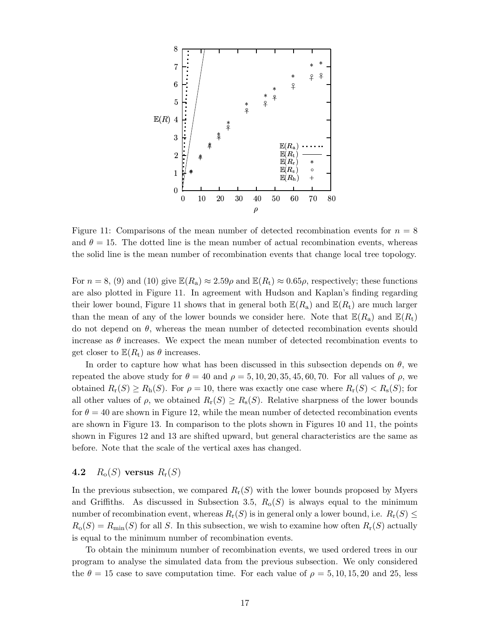

Figure 11: Comparisons of the mean number of detected recombination events for  $n = 8$ and  $\theta = 15$ . The dotted line is the mean number of actual recombination events, whereas the solid line is the mean number of recombination events that change local tree topology.

For  $n = 8$ , (9) and (10) give  $\mathbb{E}(R_a) \approx 2.59\rho$  and  $\mathbb{E}(R_t) \approx 0.65\rho$ , respectively; these functions are also plotted in Figure 11. In agreement with Hudson and Kaplan's finding regarding their lower bound, Figure 11 shows that in general both  $\mathbb{E}(R_{\rm a})$  and  $\mathbb{E}(R_{\rm t})$  are much larger than the mean of any of the lower bounds we consider here. Note that  $\mathbb{E}(R_{\rm a})$  and  $\mathbb{E}(R_{\rm t})$ do not depend on  $\theta$ , whereas the mean number of detected recombination events should increase as  $\theta$  increases. We expect the mean number of detected recombination events to get closer to  $\mathbb{E}(R_t)$  as  $\theta$  increases.

In order to capture how what has been discussed in this subsection depends on  $\theta$ , we repeated the above study for  $\theta = 40$  and  $\rho = 5, 10, 20, 35, 45, 60, 70$ . For all values of  $\rho$ , we obtained  $R_r(S) \ge R_h(S)$ . For  $\rho = 10$ , there was exactly one case where  $R_r(S) < R_s(S)$ ; for all other values of  $\rho$ , we obtained  $R_r(S) \geq R_s(S)$ . Relative sharpness of the lower bounds for  $\theta = 40$  are shown in Figure 12, while the mean number of detected recombination events are shown in Figure 13. In comparison to the plots shown in Figures 10 and 11, the points shown in Figures 12 and 13 are shifted upward, but general characteristics are the same as before. Note that the scale of the vertical axes has changed.

## 4.2  $R_o(S)$  versus  $R_r(S)$

In the previous subsection, we compared  $R_r(S)$  with the lower bounds proposed by Myers and Griffiths. As discussed in Subsection 3.5,  $R_0(S)$  is always equal to the minimum number of recombination event, whereas  $R_r(S)$  is in general only a lower bound, i.e.  $R_r(S) \leq$  $R_o(S) = R_{\text{min}}(S)$  for all S. In this subsection, we wish to examine how often  $R_r(S)$  actually is equal to the minimum number of recombination events.

To obtain the minimum number of recombination events, we used ordered trees in our program to analyse the simulated data from the previous subsection. We only considered the  $\theta = 15$  case to save computation time. For each value of  $\rho = 5, 10, 15, 20$  and 25, less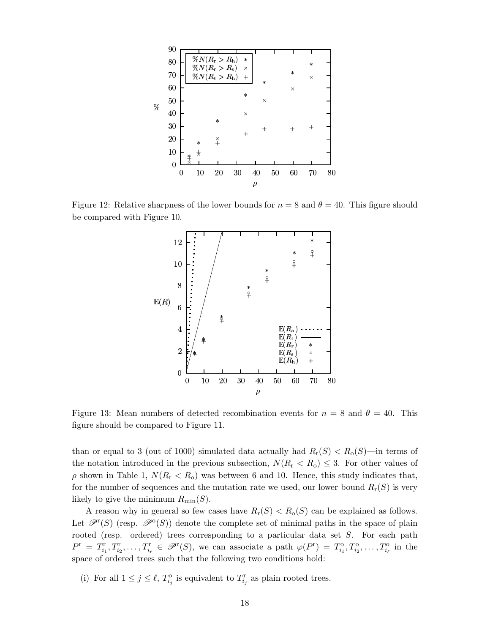

Figure 12: Relative sharpness of the lower bounds for  $n = 8$  and  $\theta = 40$ . This figure should be compared with Figure 10.



Figure 13: Mean numbers of detected recombination events for  $n = 8$  and  $\theta = 40$ . This figure should be compared to Figure 11.

than or equal to 3 (out of 1000) simulated data actually had  $R_r(S) < R_o(S)$ —in terms of the notation introduced in the previous subsection,  $N(R_r < R_o) \leq 3$ . For other values of  $\rho$  shown in Table 1,  $N(R_r < R_o)$  was between 6 and 10. Hence, this study indicates that, for the number of sequences and the mutation rate we used, our lower bound  $R_r(S)$  is very likely to give the minimum  $R_{\text{min}}(S)$ .

A reason why in general so few cases have  $R_r(S) < R_o(S)$  can be explained as follows. Let  $\mathscr{P}^{\mathsf{r}}(S)$  (resp.  $\mathscr{P}^{\mathsf{o}}(S)$ ) denote the complete set of minimal paths in the space of plain rooted (resp. ordered) trees corresponding to a particular data set S. For each path  $P^{\rm r} = T_{i_1}^{\rm r}, T_{i_2}^{\rm r}, \ldots, T_{i_\ell}^{\rm r} \in \mathscr{P}^{\rm r}(S)$ , we can associate a path  $\varphi(P^{\rm r}) = T_{i_1}^{\rm o}, T_{i_2}^{\rm o}, \ldots, T_{i_\ell}^{\rm o}$  in the space of ordered trees such that the following two conditions hold:

(i) For all  $1 \leq j \leq \ell$ ,  $T_{i_j}^{\circ}$  is equivalent to  $T_{i_j}^{\rm r}$  as plain rooted trees.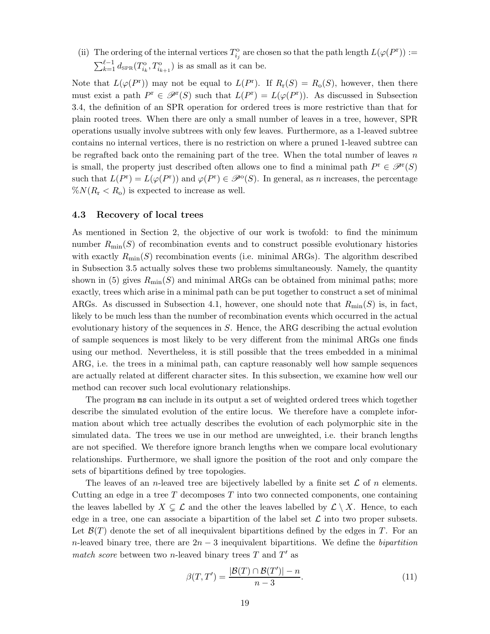(ii) The ordering of the internal vertices  $T_{i_j}^{\text{o}}$  are chosen so that the path length  $L(\varphi(P^r)) :=$  $\sum_{k=1}^{\ell-1} d_{\text{SPR}}(T_{i_k}^{\text{o}}, T_{i_{k+1}}^{\text{o}})$  is as small as it can be.

Note that  $L(\varphi(P^r))$  may not be equal to  $L(P^r)$ . If  $R_r(S) = R_o(S)$ , however, then there must exist a path  $P^r \in \mathcal{P}^r(S)$  such that  $L(P^r) = L(\varphi(P^r))$ . As discussed in Subsection 3.4, the definition of an SPR operation for ordered trees is more restrictive than that for plain rooted trees. When there are only a small number of leaves in a tree, however, SPR operations usually involve subtrees with only few leaves. Furthermore, as a 1-leaved subtree contains no internal vertices, there is no restriction on where a pruned 1-leaved subtree can be regrafted back onto the remaining part of the tree. When the total number of leaves  $n$ is small, the property just described often allows one to find a minimal path  $P^r \in \mathcal{P}^r(S)$ such that  $L(P^r) = L(\varphi(P^r))$  and  $\varphi(P^r) \in \mathscr{P}^{\circ}(S)$ . In general, as *n* increases, the percentage  $\%N(R_{\rm r} < R_{\rm o})$  is expected to increase as well.

### 4.3 Recovery of local trees

As mentioned in Section 2, the objective of our work is twofold: to find the minimum number  $R_{\text{min}}(S)$  of recombination events and to construct possible evolutionary histories with exactly  $R_{\text{min}}(S)$  recombination events (i.e. minimal ARGs). The algorithm described in Subsection 3.5 actually solves these two problems simultaneously. Namely, the quantity shown in (5) gives  $R_{\text{min}}(S)$  and minimal ARGs can be obtained from minimal paths; more exactly, trees which arise in a minimal path can be put together to construct a set of minimal ARGs. As discussed in Subsection 4.1, however, one should note that  $R_{\text{min}}(S)$  is, in fact, likely to be much less than the number of recombination events which occurred in the actual evolutionary history of the sequences in  $S$ . Hence, the ARG describing the actual evolution of sample sequences is most likely to be very different from the minimal ARGs one finds using our method. Nevertheless, it is still possible that the trees embedded in a minimal ARG, i.e. the trees in a minimal path, can capture reasonably well how sample sequences are actually related at different character sites. In this subsection, we examine how well our method can recover such local evolutionary relationships.

The program ms can include in its output a set of weighted ordered trees which together describe the simulated evolution of the entire locus. We therefore have a complete information about which tree actually describes the evolution of each polymorphic site in the simulated data. The trees we use in our method are unweighted, i.e. their branch lengths are not specified. We therefore ignore branch lengths when we compare local evolutionary relationships. Furthermore, we shall ignore the position of the root and only compare the sets of bipartitions defined by tree topologies.

The leaves of an *n*-leaved tree are bijectively labelled by a finite set  $\mathcal L$  of *n* elements. Cutting an edge in a tree  $T$  decomposes  $T$  into two connected components, one containing the leaves labelled by  $X \subsetneq \mathcal{L}$  and the other the leaves labelled by  $\mathcal{L} \setminus X$ . Hence, to each edge in a tree, one can associate a bipartition of the label set  $\mathcal L$  into two proper subsets. Let  $\mathcal{B}(T)$  denote the set of all inequivalent bipartitions defined by the edges in T. For an n-leaved binary tree, there are  $2n-3$  inequivalent bipartitions. We define the *bipartition* match score between two n-leaved binary trees  $T$  and  $T'$  as

$$
\beta(T, T') = \frac{|\mathcal{B}(T) \cap \mathcal{B}(T')| - n}{n - 3}.\tag{11}
$$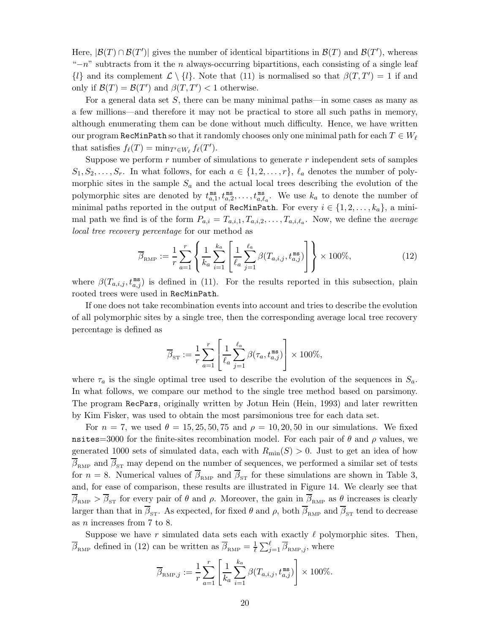Here,  $|\mathcal{B}(T) \cap \mathcal{B}(T')|$  gives the number of identical bipartitions in  $\mathcal{B}(T)$  and  $\mathcal{B}(T')$ , whereas " $-n$ " subtracts from it the n always-occurring bipartitions, each consisting of a single leaf  $\{l\}$  and its complement  $\mathcal{L} \setminus \{l\}$ . Note that (11) is normalised so that  $\beta(T, T') = 1$  if and only if  $\mathcal{B}(T) = \mathcal{B}(T')$  and  $\beta(T, T') < 1$  otherwise.

For a general data set S, there can be many minimal paths—in some cases as many as a few millions—and therefore it may not be practical to store all such paths in memory, although enumerating them can be done without much difficulty. Hence, we have written our program RecMinPath so that it randomly chooses only one minimal path for each  $T \in W_\ell$ that satisfies  $f_{\ell}(T) = \min_{T' \in W_{\ell}} f_{\ell}(T')$ .

Suppose we perform  $r$  number of simulations to generate  $r$  independent sets of samples  $S_1, S_2, \ldots, S_r$ . In what follows, for each  $a \in \{1, 2, \ldots, r\}$ ,  $\ell_a$  denotes the number of polymorphic sites in the sample  $S_a$  and the actual local trees describing the evolution of the polymorphic sites are denoted by  $t_{a,1}^{\text{ms}}$  $\mathbb{R}^{\text{ms}}_{a,1}, t^{\text{ms}}_{a,2}, \ldots, t^{\text{ms}}_{a,\ell_a}$ . We use  $k_a$  to denote the number of minimal paths reported in the output of RecMinPath. For every  $i \in \{1, 2, ..., k_a\}$ , a minimal path we find is of the form  $P_{a,i} = T_{a,i,1}, T_{a,i,2}, \ldots, T_{a,i,\ell_a}$ . Now, we define the *average* local tree recovery percentage for our method as

$$
\overline{\beta}_{\text{RMP}} := \frac{1}{r} \sum_{a=1}^{r} \left\{ \frac{1}{k_a} \sum_{i=1}^{k_a} \left[ \frac{1}{\ell_a} \sum_{j=1}^{\ell_a} \beta(T_{a,i,j}, t_{a,j}^{\text{ms}}) \right] \right\} \times 100\%,\tag{12}
$$

where  $\beta(T_{a,i,j}, t_{a,j}^{ms})$  is defined in (11). For the results reported in this subsection, plain rooted trees were used in RecMinPath.

If one does not take recombination events into account and tries to describe the evolution of all polymorphic sites by a single tree, then the corresponding average local tree recovery percentage is defined as

$$
\overline{\beta}_{\text{ST}} := \frac{1}{r} \sum_{a=1}^{r} \left[ \frac{1}{\ell_a} \sum_{j=1}^{\ell_a} \beta(\tau_a, t_{a,j}^{\text{ms}}) \right] \times 100\%,
$$

where  $\tau_a$  is the single optimal tree used to describe the evolution of the sequences in  $S_a$ . In what follows, we compare our method to the single tree method based on parsimony. The program RecPars, originally written by Jotun Hein (Hein, 1993) and later rewritten by Kim Fisker, was used to obtain the most parsimonious tree for each data set.

For  $n = 7$ , we used  $\theta = 15, 25, 50, 75$  and  $\rho = 10, 20, 50$  in our simulations. We fixed nsites=3000 for the finite-sites recombination model. For each pair of  $\theta$  and  $\rho$  values, we generated 1000 sets of simulated data, each with  $R_{\text{min}}(S) > 0$ . Just to get an idea of how  $\overline{\beta}_{\text{RMP}}$  and  $\overline{\beta}_{\text{ST}}$  may depend on the number of sequences, we performed a similar set of tests for  $n = 8$ . Numerical values of  $\overline{\beta}_{RMP}$  and  $\overline{\beta}_{ST}$  for these simulations are shown in Table 3, and, for ease of comparison, these results are illustrated in Figure 14. We clearly see that  $\overline{\beta}_{RMP} > \overline{\beta}_{ST}$  for every pair of  $\theta$  and  $\rho$ . Moreover, the gain in  $\overline{\beta}_{RMP}$  as  $\theta$  increases is clearly larger than that in  $\overline{\beta}_{ST}$ . As expected, for fixed  $\theta$  and  $\rho$ , both  $\overline{\beta}_{RMP}$  and  $\overline{\beta}_{ST}$  tend to decrease as n increases from 7 to 8.

Suppose we have r simulated data sets each with exactly  $\ell$  polymorphic sites. Then,  $\overline{\beta}_{RMP}$  defined in (12) can be written as  $\overline{\beta}_{RMP} = \frac{1}{\ell} \sum_{j=1}^{\ell} \overline{\beta}_{RMP,j}$ , where

$$
\overline{\beta}_{\text{RMP},j} := \frac{1}{r} \sum_{a=1}^r \left[ \frac{1}{k_a} \sum_{i=1}^{k_a} \beta(T_{a,i,j}, t_{a,j}^{\text{ms}}) \right] \times 100\%.
$$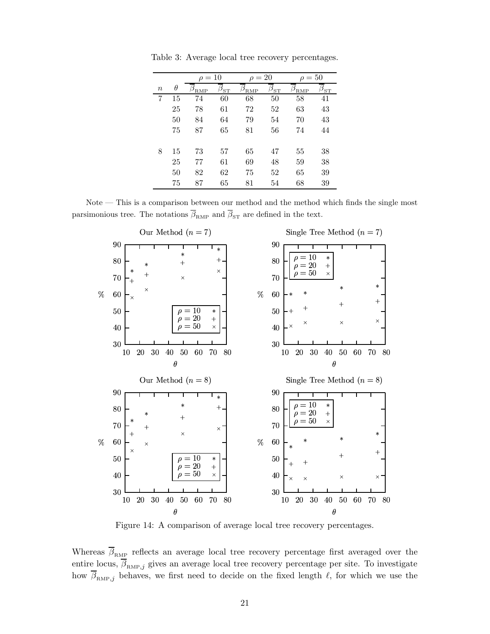|          |          | $\rho = 10$ |                     | $\rho = 20$ |                     | $\rho = 50$ |                     |
|----------|----------|-------------|---------------------|-------------|---------------------|-------------|---------------------|
| $\it{n}$ | $\theta$ | <b>RMP</b>  | $\beta_{\text{ST}}$ | <b>RMP</b>  | $\beta_{\text{ST}}$ | RMP         | $\beta_\textrm{ST}$ |
| 7        | 15       | 74          | 60                  | 68          | 50                  | 58          | 41                  |
|          | 25       | 78          | 61                  | 72          | 52                  | 63          | 43                  |
|          | 50       | 84          | 64                  | 79          | 54                  | 70          | 43                  |
|          | 75       | 87          | 65                  | 81          | 56                  | 74          | 44                  |
| 8        | 15       | 73          | 57                  | 65          | 47                  | 55          | 38                  |
|          | 25       | 77          | 61                  | 69          | 48                  | 59          | 38                  |
|          | 50       | 82          | 62                  | 75          | 52                  | 65          | 39                  |
|          | 75       | 87          | 65                  | 81          | 54                  | 68          | 39                  |

Table 3: Average local tree recovery percentages.

Note — This is a comparison between our method and the method which finds the single most parsimonious tree. The notations  $\overline{\beta}_\text{RMP}$  and  $\overline{\beta}_\text{ST}$  are defined in the text.



Figure 14: A comparison of average local tree recovery percentages.

Whereas  $\overline{\beta}_{\text{RMP}}$  reflects an average local tree recovery percentage first averaged over the entire locus,  $\overline{\beta}_{RMP,j}$  gives an average local tree recovery percentage per site. To investigate how  $\overline{\beta}_{RMP,j}$  behaves, we first need to decide on the fixed length  $\ell$ , for which we use the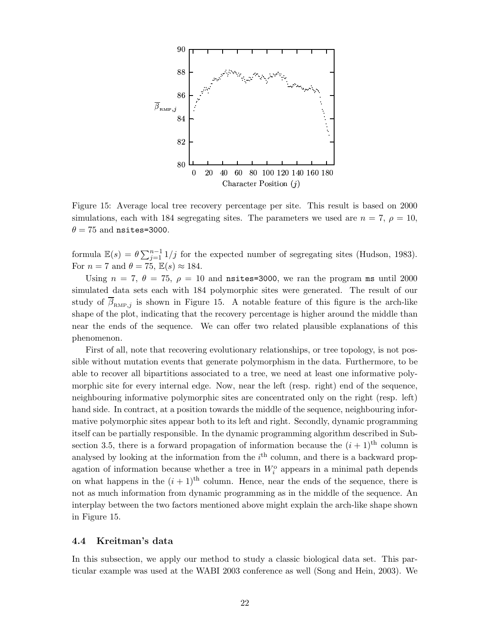

Figure 15: Average local tree recovery percentage per site. This result is based on 2000 simulations, each with 184 segregating sites. The parameters we used are  $n = 7$ ,  $\rho = 10$ ,  $\theta = 75$  and nsites=3000.

formula  $\mathbb{E}(s) = \theta \sum_{j=1}^{n-1} 1/j$  for the expected number of segregating sites (Hudson, 1983). For  $n = 7$  and  $\theta = 75$ ,  $\mathbb{E}(s) \approx 184$ .

Using  $n = 7$ ,  $\theta = 75$ ,  $\rho = 10$  and nsites=3000, we ran the program ms until 2000 simulated data sets each with 184 polymorphic sites were generated. The result of our study of  $\beta_{RMP,j}$  is shown in Figure 15. A notable feature of this figure is the arch-like shape of the plot, indicating that the recovery percentage is higher around the middle than near the ends of the sequence. We can offer two related plausible explanations of this phenomenon.

First of all, note that recovering evolutionary relationships, or tree topology, is not possible without mutation events that generate polymorphism in the data. Furthermore, to be able to recover all bipartitions associated to a tree, we need at least one informative polymorphic site for every internal edge. Now, near the left (resp. right) end of the sequence, neighbouring informative polymorphic sites are concentrated only on the right (resp. left) hand side. In contract, at a position towards the middle of the sequence, neighbouring informative polymorphic sites appear both to its left and right. Secondly, dynamic programming itself can be partially responsible. In the dynamic programming algorithm described in Subsection 3.5, there is a forward propagation of information because the  $(i + 1)$ <sup>th</sup> column is analysed by looking at the information from the  $i<sup>th</sup>$  column, and there is a backward propagation of information because whether a tree in  $W_i^{\text{o}}$  appears in a minimal path depends on what happens in the  $(i + 1)$ <sup>th</sup> column. Hence, near the ends of the sequence, there is not as much information from dynamic programming as in the middle of the sequence. An interplay between the two factors mentioned above might explain the arch-like shape shown in Figure 15.

### 4.4 Kreitman's data

In this subsection, we apply our method to study a classic biological data set. This particular example was used at the WABI 2003 conference as well (Song and Hein, 2003). We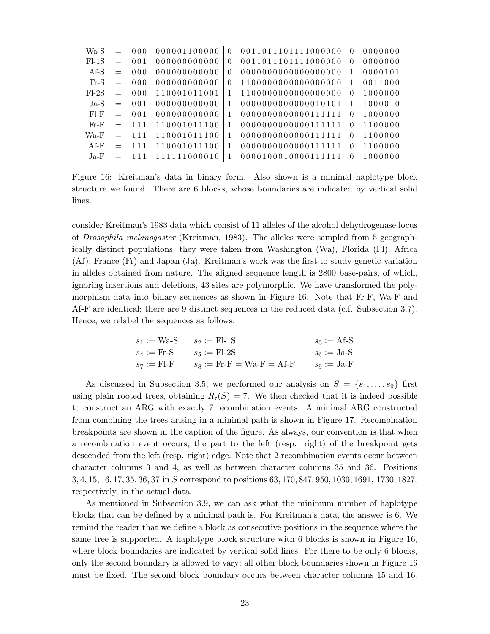| $Wa-S$  |     | 000              | 000001100000 | $\Omega$ | 0011011101111000000 | $\Omega$ | 0000000 |
|---------|-----|------------------|--------------|----------|---------------------|----------|---------|
| $F1-1S$ |     | 001              | 000000000000 | $\Omega$ | 0011011101111000000 | $\Omega$ | 0000000 |
| Af-S    |     | 000              | 000000000000 | $\Omega$ |                     |          | 0000101 |
| $Fr-S$  | $=$ | 000              | 000000000000 | $\Omega$ | 1100000000000000000 |          | 0011000 |
| $F1-2S$ | $=$ | 000              | 110001011001 | 1        | 1100000000000000000 | $\Omega$ | 1000000 |
| $Ja-S$  | $=$ | 0 <sub>0</sub> 1 | 000000000000 | 1        | 0000000000000010101 |          | 1000010 |
| $F$ -F  | $=$ | 0 <sub>0</sub> 1 | 000000000000 | 1        | 0000000000000111111 | $\Omega$ | 1000000 |
| $Fr-F$  |     | 111              | 110001011100 | 1        | 0000000000000111111 | $\Omega$ | 1100000 |
| $Wa-F$  | $=$ | 111              | 110001011100 | 1        | 0000000000000111111 | $\Omega$ | 1100000 |
| $Af-F$  |     | 111              | 110001011100 | 1        | 0000000000000111111 | $\Omega$ | 1100000 |
| $Ja-F$  |     | 111              | 111111000010 | 1        | 0000100010000111111 | $\Omega$ | 1000000 |

Figure 16: Kreitman's data in binary form. Also shown is a minimal haplotype block structure we found. There are 6 blocks, whose boundaries are indicated by vertical solid lines.

consider Kreitman's 1983 data which consist of 11 alleles of the alcohol dehydrogenase locus of Drosophila melanogaster (Kreitman, 1983). The alleles were sampled from 5 geographically distinct populations; they were taken from Washington (Wa), Florida (Fl), Africa (Af), France (Fr) and Japan (Ja). Kreitman's work was the first to study genetic variation in alleles obtained from nature. The aligned sequence length is 2800 base-pairs, of which, ignoring insertions and deletions, 43 sites are polymorphic. We have transformed the polymorphism data into binary sequences as shown in Figure 16. Note that Fr-F, Wa-F and Af-F are identical; there are 9 distinct sequences in the reduced data (c.f. Subsection 3.7). Hence, we relabel the sequences as follows:

$$
s_1 := Wa-S
$$
  $s_2 := Fl-1S$   $s_3 := Af-S$   
\n $s_4 := Fr-S$   $s_5 := Fl-2S$   $s_6 := Ja-S$   
\n $s_7 := Fl-F$   $s_8 := Fr-F = Wa-F = Af-F$   $s_9 := Ja-F$ 

As discussed in Subsection 3.5, we performed our analysis on  $S = \{s_1, \ldots, s_9\}$  first using plain rooted trees, obtaining  $R_r(S) = 7$ . We then checked that it is indeed possible to construct an ARG with exactly 7 recombination events. A minimal ARG constructed from combining the trees arising in a minimal path is shown in Figure 17. Recombination breakpoints are shown in the caption of the figure. As always, our convention is that when a recombination event occurs, the part to the left (resp. right) of the breakpoint gets descended from the left (resp. right) edge. Note that 2 recombination events occur between character columns 3 and 4, as well as between character columns 35 and 36. Positions 3, 4, 15, 16, 17, 35, 36, 37 in S correspond to positions 63, 170, 847, 950, 1030, 1691, 1730, 1827, respectively, in the actual data.

As mentioned in Subsection 3.9, we can ask what the minimum number of haplotype blocks that can be defined by a minimal path is. For Kreitman's data, the answer is 6. We remind the reader that we define a block as consecutive positions in the sequence where the same tree is supported. A haplotype block structure with 6 blocks is shown in Figure 16, where block boundaries are indicated by vertical solid lines. For there to be only 6 blocks, only the second boundary is allowed to vary; all other block boundaries shown in Figure 16 must be fixed. The second block boundary occurs between character columns 15 and 16.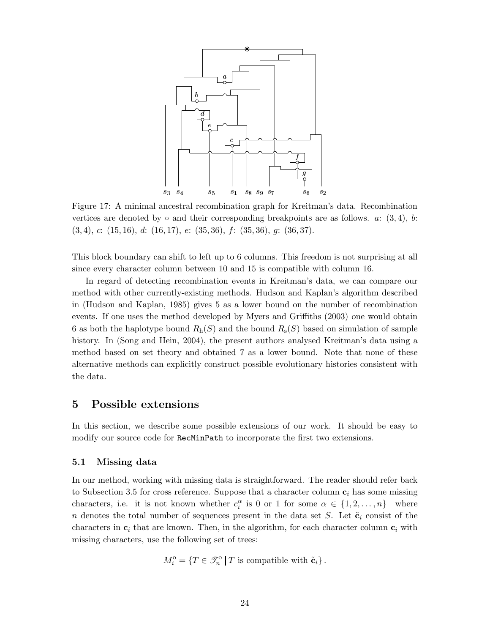

Figure 17: A minimal ancestral recombination graph for Kreitman's data. Recombination vertices are denoted by  $\circ$  and their corresponding breakpoints are as follows. a:  $(3, 4)$ , b:  $(3, 4), c: (15, 16), d: (16, 17), e: (35, 36), f: (35, 36), g: (36, 37).$ 

This block boundary can shift to left up to 6 columns. This freedom is not surprising at all since every character column between 10 and 15 is compatible with column 16.

In regard of detecting recombination events in Kreitman's data, we can compare our method with other currently-existing methods. Hudson and Kaplan's algorithm described in (Hudson and Kaplan, 1985) gives 5 as a lower bound on the number of recombination events. If one uses the method developed by Myers and Griffiths (2003) one would obtain 6 as both the haplotype bound  $R_h(S)$  and the bound  $R_s(S)$  based on simulation of sample history. In (Song and Hein, 2004), the present authors analysed Kreitman's data using a method based on set theory and obtained 7 as a lower bound. Note that none of these alternative methods can explicitly construct possible evolutionary histories consistent with the data.

## 5 Possible extensions

In this section, we describe some possible extensions of our work. It should be easy to modify our source code for RecMinPath to incorporate the first two extensions.

### 5.1 Missing data

In our method, working with missing data is straightforward. The reader should refer back to Subsection 3.5 for cross reference. Suppose that a character column  $c_i$  has some missing characters, i.e. it is not known whether  $c_i^{\alpha}$  is 0 or 1 for some  $\alpha \in \{1, 2, ..., n\}$ —where n denotes the total number of sequences present in the data set S. Let  $\tilde{\mathbf{c}}_i$  consist of the characters in  $c_i$  that are known. Then, in the algorithm, for each character column  $c_i$  with missing characters, use the following set of trees:

$$
M_i^{\text{o}} = \{ T \in \mathcal{F}_n^{\text{o}} \mid T \text{ is compatible with } \tilde{\mathbf{c}}_i \}.
$$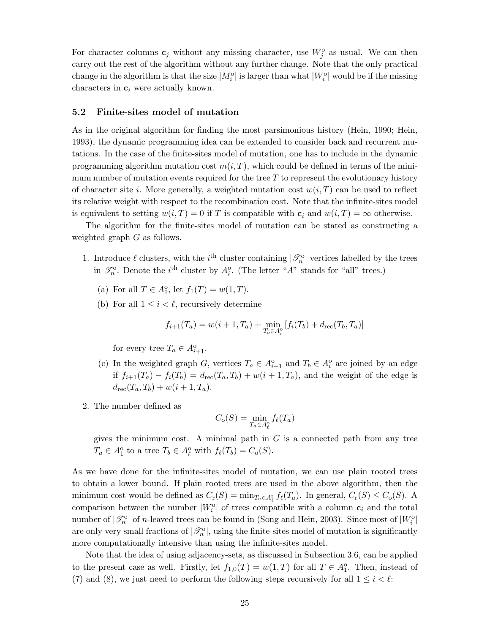For character columns  $\mathbf{c}_j$  without any missing character, use  $W_j^{\text{o}}$  as usual. We can then carry out the rest of the algorithm without any further change. Note that the only practical change in the algorithm is that the size  $|M_i^{\text{o}}|$  is larger than what  $|W_i^{\text{o}}|$  would be if the missing characters in  $c_i$  were actually known.

#### 5.2 Finite-sites model of mutation

As in the original algorithm for finding the most parsimonious history (Hein, 1990; Hein, 1993), the dynamic programming idea can be extended to consider back and recurrent mutations. In the case of the finite-sites model of mutation, one has to include in the dynamic programming algorithm mutation cost  $m(i, T)$ , which could be defined in terms of the minimum number of mutation events required for the tree  $T$  to represent the evolutionary history of character site i. More generally, a weighted mutation cost  $w(i, T)$  can be used to reflect its relative weight with respect to the recombination cost. Note that the infinite-sites model is equivalent to setting  $w(i, T) = 0$  if T is compatible with  $c_i$  and  $w(i, T) = \infty$  otherwise.

The algorithm for the finite-sites model of mutation can be stated as constructing a weighted graph G as follows.

- 1. Introduce  $\ell$  clusters, with the i<sup>th</sup> cluster containing  $|\mathscr{T}_n^{\text{o}}|$  vertices labelled by the trees in  $\mathcal{I}_n^{\circ}$ . Denote the *i*<sup>th</sup> cluster by  $A_i^{\circ}$ . (The letter "A" stands for "all" trees.)
	- (a) For all  $T \in A_1^o$ , let  $f_1(T) = w(1, T)$ .
	- (b) For all  $1 \leq i \leq \ell$ , recursively determine

$$
f_{i+1}(T_a) = w(i+1, T_a) + \min_{T_b \in A_i^0} [f_i(T_b) + d_{\text{rec}}(T_b, T_a)]
$$

for every tree  $T_a \in A_{i+1}^{\circ}$ .

- (c) In the weighted graph G, vertices  $T_a \in A_{i+1}^{\circ}$  and  $T_b \in A_i^{\circ}$  are joined by an edge if  $f_{i+1}(T_a) - f_i(T_b) = d_{\text{rec}}(T_a, T_b) + w(i+1, T_a)$ , and the weight of the edge is  $d_{rec}(T_a, T_b) + w(i + 1, T_a).$
- 2. The number defined as

$$
C_{\mathbf{o}}(S) = \min_{T_a \in A^{\mathbf{o}}_{\ell}} f_{\ell}(T_a)
$$

gives the minimum cost. A minimal path in  $G$  is a connected path from any tree  $T_a \in A_1^o$  to a tree  $T_b \in A_\ell^o$  with  $f_\ell(T_b) = C_o(S)$ .

As we have done for the infinite-sites model of mutation, we can use plain rooted trees to obtain a lower bound. If plain rooted trees are used in the above algorithm, then the minimum cost would be defined as  $C_r(S) = \min_{T_a \in A_\ell^r} f_\ell(T_a)$ . In general,  $C_r(S) \leq C_o(S)$ . A comparison between the number  $|W_i^{\text{o}}|$  of trees compatible with a column  $c_i$  and the total number of  $|\mathcal{S}_n^{\text{o}}|$  of *n*-leaved trees can be found in (Song and Hein, 2003). Since most of  $|W_i^{\text{o}}|$ are only very small fractions of  $|\mathcal{S}_n^{\text{o}}|$ , using the finite-sites model of mutation is significantly more computationally intensive than using the infinite-sites model.

Note that the idea of using adjacency-sets, as discussed in Subsection 3.6, can be applied to the present case as well. Firstly, let  $f_{1,0}(T) = w(1,T)$  for all  $T \in A_1^{\circ}$ . Then, instead of (7) and (8), we just need to perform the following steps recursively for all  $1 \leq i < \ell$ :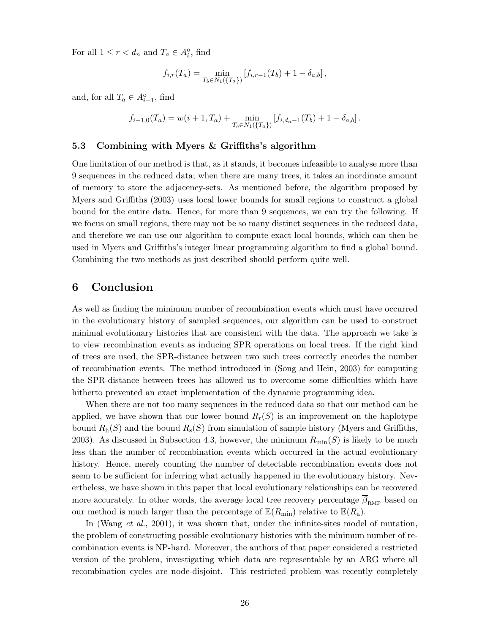For all  $1 \leq r < d_n$  and  $T_a \in A_i^{\circ}$ , find

$$
f_{i,r}(T_a) = \min_{T_b \in N_1(\{T_a\})} \left[ f_{i,r-1}(T_b) + 1 - \delta_{a,b} \right],
$$

and, for all  $T_a \in A_{i+1}^{\circ}$ , find

$$
f_{i+1,0}(T_a) = w(i+1,T_a) + \min_{T_b \in N_1(\{T_a\})} [f_{i,d_n-1}(T_b) + 1 - \delta_{a,b}].
$$

### 5.3 Combining with Myers & Griffiths's algorithm

One limitation of our method is that, as it stands, it becomes infeasible to analyse more than 9 sequences in the reduced data; when there are many trees, it takes an inordinate amount of memory to store the adjacency-sets. As mentioned before, the algorithm proposed by Myers and Griffiths (2003) uses local lower bounds for small regions to construct a global bound for the entire data. Hence, for more than 9 sequences, we can try the following. If we focus on small regions, there may not be so many distinct sequences in the reduced data, and therefore we can use our algorithm to compute exact local bounds, which can then be used in Myers and Griffiths's integer linear programming algorithm to find a global bound. Combining the two methods as just described should perform quite well.

# 6 Conclusion

As well as finding the minimum number of recombination events which must have occurred in the evolutionary history of sampled sequences, our algorithm can be used to construct minimal evolutionary histories that are consistent with the data. The approach we take is to view recombination events as inducing SPR operations on local trees. If the right kind of trees are used, the SPR-distance between two such trees correctly encodes the number of recombination events. The method introduced in (Song and Hein, 2003) for computing the SPR-distance between trees has allowed us to overcome some difficulties which have hitherto prevented an exact implementation of the dynamic programming idea.

When there are not too many sequences in the reduced data so that our method can be applied, we have shown that our lower bound  $R_r(S)$  is an improvement on the haplotype bound  $R_h(S)$  and the bound  $R_s(S)$  from simulation of sample history (Myers and Griffiths, 2003). As discussed in Subsection 4.3, however, the minimum  $R_{\text{min}}(S)$  is likely to be much less than the number of recombination events which occurred in the actual evolutionary history. Hence, merely counting the number of detectable recombination events does not seem to be sufficient for inferring what actually happened in the evolutionary history. Nevertheless, we have shown in this paper that local evolutionary relationships can be recovered more accurately. In other words, the average local tree recovery percentage  $\overline{\beta}_{RMP}$  based on our method is much larger than the percentage of  $\mathbb{E}(R_{\text{min}})$  relative to  $\mathbb{E}(R_{\text{a}})$ .

In (Wang *et al.*, 2001), it was shown that, under the infinite-sites model of mutation, the problem of constructing possible evolutionary histories with the minimum number of recombination events is NP-hard. Moreover, the authors of that paper considered a restricted version of the problem, investigating which data are representable by an ARG where all recombination cycles are node-disjoint. This restricted problem was recently completely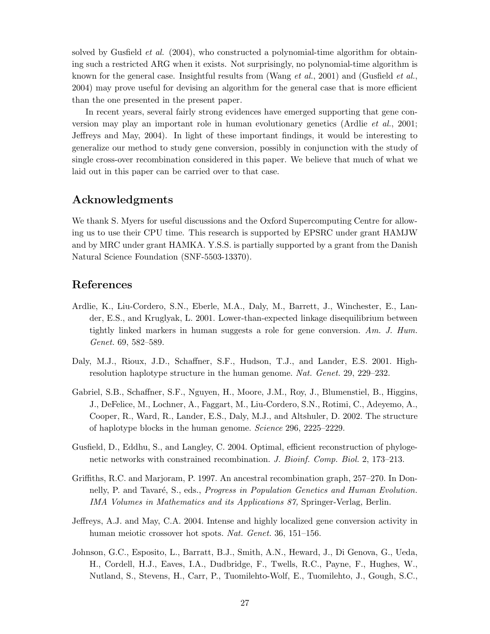solved by Gusfield *et al.* (2004), who constructed a polynomial-time algorithm for obtaining such a restricted ARG when it exists. Not surprisingly, no polynomial-time algorithm is known for the general case. Insightful results from (Wang  $et al., 2001$ ) and (Gusfield  $et al.,$ 2004) may prove useful for devising an algorithm for the general case that is more efficient than the one presented in the present paper.

In recent years, several fairly strong evidences have emerged supporting that gene conversion may play an important role in human evolutionary genetics (Ardlie et al., 2001; Jeffreys and May, 2004). In light of these important findings, it would be interesting to generalize our method to study gene conversion, possibly in conjunction with the study of single cross-over recombination considered in this paper. We believe that much of what we laid out in this paper can be carried over to that case.

# Acknowledgments

We thank S. Myers for useful discussions and the Oxford Supercomputing Centre for allowing us to use their CPU time. This research is supported by EPSRC under grant HAMJW and by MRC under grant HAMKA. Y.S.S. is partially supported by a grant from the Danish Natural Science Foundation (SNF-5503-13370).

## References

- Ardlie, K., Liu-Cordero, S.N., Eberle, M.A., Daly, M., Barrett, J., Winchester, E., Lander, E.S., and Kruglyak, L. 2001. Lower-than-expected linkage disequilibrium between tightly linked markers in human suggests a role for gene conversion.  $Am. J. Hum.$ Genet. 69, 582–589.
- Daly, M.J., Rioux, J.D., Schaffner, S.F., Hudson, T.J., and Lander, E.S. 2001. Highresolution haplotype structure in the human genome. Nat. Genet. 29, 229–232.
- Gabriel, S.B., Schaffner, S.F., Nguyen, H., Moore, J.M., Roy, J., Blumenstiel, B., Higgins, J., DeFelice, M., Lochner, A., Faggart, M., Liu-Cordero, S.N., Rotimi, C., Adeyemo, A., Cooper, R., Ward, R., Lander, E.S., Daly, M.J., and Altshuler, D. 2002. The structure of haplotype blocks in the human genome. Science 296, 2225–2229.
- Gusfield, D., Eddhu, S., and Langley, C. 2004. Optimal, efficient reconstruction of phylogenetic networks with constrained recombination. J. Bioinf. Comp. Biol. 2, 173–213.
- Griffiths, R.C. and Marjoram, P. 1997. An ancestral recombination graph, 257–270. In Donnelly, P. and Tavaré, S., eds., *Progress in Population Genetics and Human Evolution*. IMA Volumes in Mathematics and its Applications 87, Springer-Verlag, Berlin.
- Jeffreys, A.J. and May, C.A. 2004. Intense and highly localized gene conversion activity in human meiotic crossover hot spots. Nat. Genet. 36, 151–156.
- Johnson, G.C., Esposito, L., Barratt, B.J., Smith, A.N., Heward, J., Di Genova, G., Ueda, H., Cordell, H.J., Eaves, I.A., Dudbridge, F., Twells, R.C., Payne, F., Hughes, W., Nutland, S., Stevens, H., Carr, P., Tuomilehto-Wolf, E., Tuomilehto, J., Gough, S.C.,